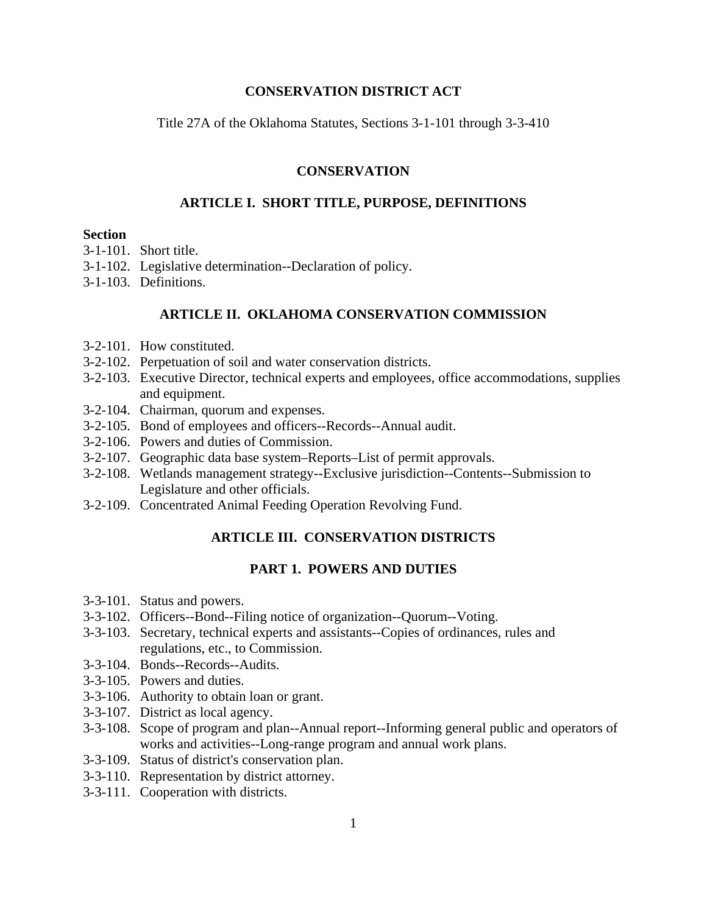## **CONSERVATION DISTRICT ACT**

Title 27A of the Oklahoma Statutes, Sections 3-1-101 through 3-3-410

## **CONSERVATION**

# **ARTICLE I. SHORT TITLE, PURPOSE, DEFINITIONS**

### **Section**

- 3-1-101. Short title.
- 3-1-102. Legislative determination--Declaration of policy.
- 3-1-103. Definitions.

## **ARTICLE II. OKLAHOMA CONSERVATION COMMISSION**

- 3-2-101. How constituted.
- 3-2-102. Perpetuation of soil and water conservation districts.
- 3-2-103. Executive Director, technical experts and employees, office accommodations, supplies and equipment.
- 3-2-104. Chairman, quorum and expenses.
- 3-2-105. Bond of employees and officers--Records--Annual audit.
- 3-2-106. Powers and duties of Commission.
- 3-2-107. Geographic data base system–Reports–List of permit approvals.
- 3-2-108. Wetlands management strategy--Exclusive jurisdiction--Contents--Submission to Legislature and other officials.
- 3-2-109. Concentrated Animal Feeding Operation Revolving Fund.

# **ARTICLE III. CONSERVATION DISTRICTS**

## **PART 1. POWERS AND DUTIES**

- 3-3-101. Status and powers.
- 3-3-102. Officers--Bond--Filing notice of organization--Quorum--Voting.
- 3-3-103. Secretary, technical experts and assistants--Copies of ordinances, rules and regulations, etc., to Commission.
- 3-3-104. Bonds--Records--Audits.
- 3-3-105. Powers and duties.
- 3-3-106. Authority to obtain loan or grant.
- 3-3-107. District as local agency.
- 3-3-108. Scope of program and plan--Annual report--Informing general public and operators of works and activities--Long-range program and annual work plans.
- 3-3-109. Status of district's conservation plan.
- 3-3-110. Representation by district attorney.
- 3-3-111. Cooperation with districts.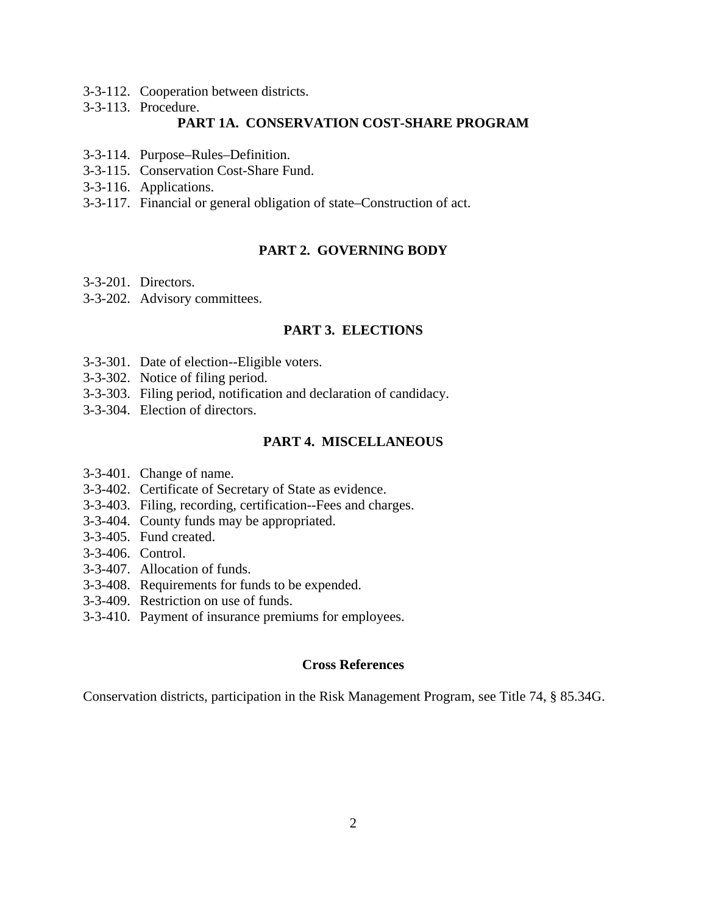- 3-3-112. Cooperation between districts.
- 3-3-113. Procedure.

# **PART 1A. CONSERVATION COST-SHARE PROGRAM**

- 3-3-114. Purpose–Rules–Definition.
- 3-3-115. Conservation Cost-Share Fund.
- 3-3-116. Applications.
- 3-3-117. Financial or general obligation of state–Construction of act.

# **PART 2. GOVERNING BODY**

- 3-3-201. Directors.
- 3-3-202. Advisory committees.

# **PART 3. ELECTIONS**

- 3-3-301. Date of election--Eligible voters.
- 3-3-302. Notice of filing period.
- 3-3-303. Filing period, notification and declaration of candidacy.
- 3-3-304. Election of directors.

### **PART 4. MISCELLANEOUS**

- 3-3-401. Change of name.
- 3-3-402. Certificate of Secretary of State as evidence.
- 3-3-403. Filing, recording, certification--Fees and charges.
- 3-3-404. County funds may be appropriated.
- 3-3-405. Fund created.
- 3-3-406. Control.
- 3-3-407. Allocation of funds.
- 3-3-408. Requirements for funds to be expended.
- 3-3-409. Restriction on use of funds.
- 3-3-410. Payment of insurance premiums for employees.

## **Cross References**

Conservation districts, participation in the Risk Management Program, see Title 74, § 85.34G.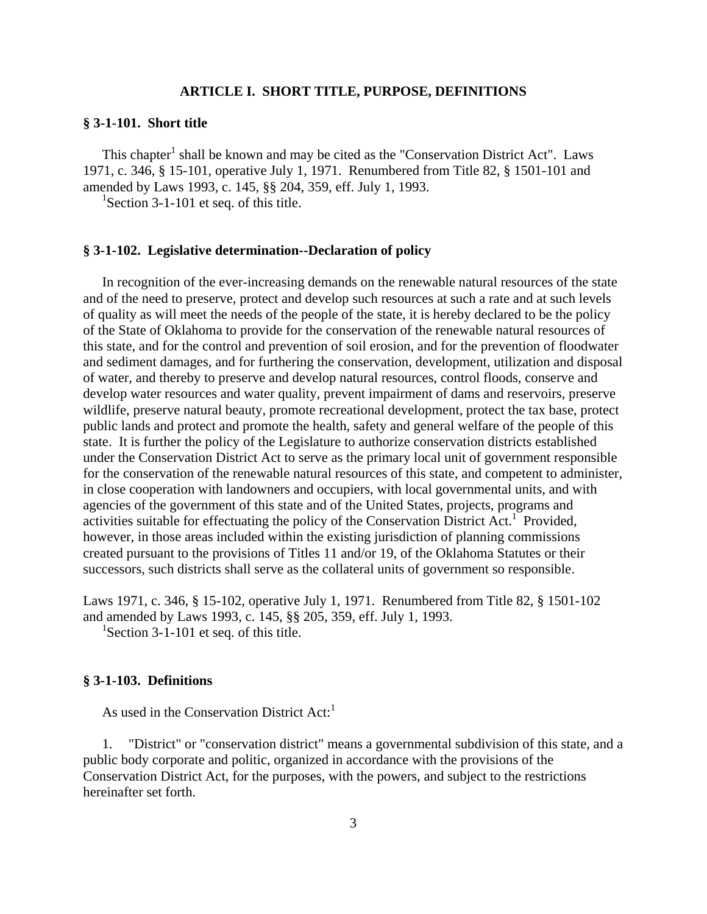# **ARTICLE I. SHORT TITLE, PURPOSE, DEFINITIONS**

### **§ 3-1-101. Short title**

This chapter<sup>1</sup> shall be known and may be cited as the "Conservation District Act". Laws 1971, c. 346, § 15-101, operative July 1, 1971. Renumbered from Title 82, § 1501-101 and amended by Laws 1993, c. 145, §§ 204, 359, eff. July 1, 1993.

<sup>1</sup>Section 3-1-101 et seq. of this title.

### **§ 3-1-102. Legislative determination--Declaration of policy**

 In recognition of the ever-increasing demands on the renewable natural resources of the state and of the need to preserve, protect and develop such resources at such a rate and at such levels of quality as will meet the needs of the people of the state, it is hereby declared to be the policy of the State of Oklahoma to provide for the conservation of the renewable natural resources of this state, and for the control and prevention of soil erosion, and for the prevention of floodwater and sediment damages, and for furthering the conservation, development, utilization and disposal of water, and thereby to preserve and develop natural resources, control floods, conserve and develop water resources and water quality, prevent impairment of dams and reservoirs, preserve wildlife, preserve natural beauty, promote recreational development, protect the tax base, protect public lands and protect and promote the health, safety and general welfare of the people of this state. It is further the policy of the Legislature to authorize conservation districts established under the Conservation District Act to serve as the primary local unit of government responsible for the conservation of the renewable natural resources of this state, and competent to administer, in close cooperation with landowners and occupiers, with local governmental units, and with agencies of the government of this state and of the United States, projects, programs and activities suitable for effectuating the policy of the Conservation District Act.<sup>1</sup> Provided, however, in those areas included within the existing jurisdiction of planning commissions created pursuant to the provisions of Titles 11 and/or 19, of the Oklahoma Statutes or their successors, such districts shall serve as the collateral units of government so responsible.

Laws 1971, c. 346, § 15-102, operative July 1, 1971. Renumbered from Title 82, § 1501-102 and amended by Laws 1993, c. 145, §§ 205, 359, eff. July 1, 1993.

<sup>1</sup>Section 3-1-101 et seq. of this title.

### **§ 3-1-103. Definitions**

As used in the Conservation District  $Act<sup>1</sup>$ 

 1. "District" or "conservation district" means a governmental subdivision of this state, and a public body corporate and politic, organized in accordance with the provisions of the Conservation District Act, for the purposes, with the powers, and subject to the restrictions hereinafter set forth.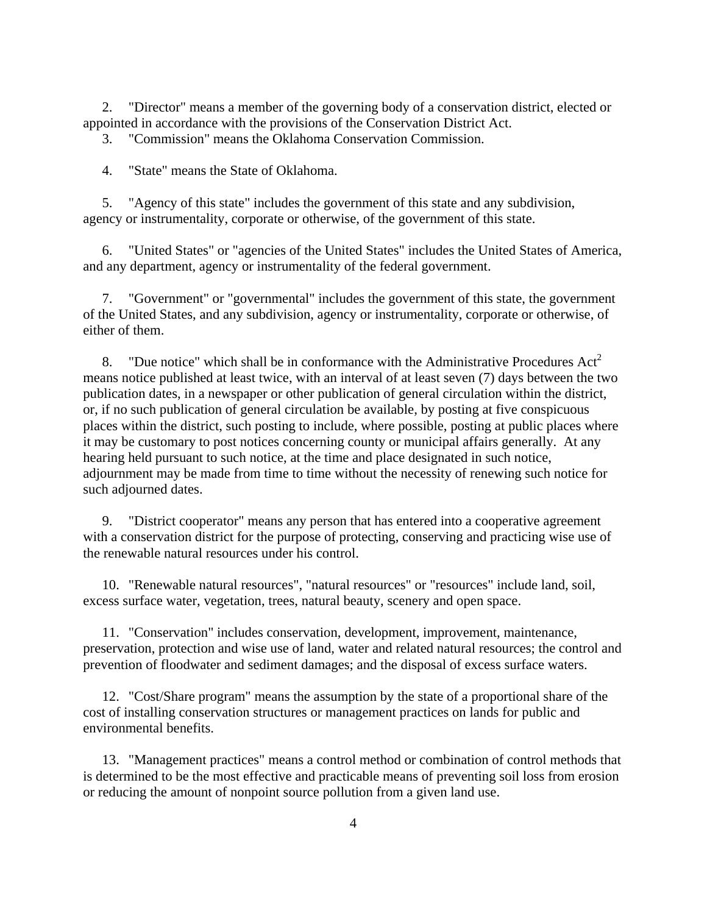2. "Director" means a member of the governing body of a conservation district, elected or appointed in accordance with the provisions of the Conservation District Act.

3. "Commission" means the Oklahoma Conservation Commission.

4. "State" means the State of Oklahoma.

 5. "Agency of this state" includes the government of this state and any subdivision, agency or instrumentality, corporate or otherwise, of the government of this state.

 6. "United States" or "agencies of the United States" includes the United States of America, and any department, agency or instrumentality of the federal government.

 7. "Government" or "governmental" includes the government of this state, the government of the United States, and any subdivision, agency or instrumentality, corporate or otherwise, of either of them.

8. "Due notice" which shall be in conformance with the Administrative Procedures  $Act<sup>2</sup>$ means notice published at least twice, with an interval of at least seven (7) days between the two publication dates, in a newspaper or other publication of general circulation within the district, or, if no such publication of general circulation be available, by posting at five conspicuous places within the district, such posting to include, where possible, posting at public places where it may be customary to post notices concerning county or municipal affairs generally. At any hearing held pursuant to such notice, at the time and place designated in such notice, adjournment may be made from time to time without the necessity of renewing such notice for such adjourned dates.

 9. "District cooperator" means any person that has entered into a cooperative agreement with a conservation district for the purpose of protecting, conserving and practicing wise use of the renewable natural resources under his control.

 10. "Renewable natural resources", "natural resources" or "resources" include land, soil, excess surface water, vegetation, trees, natural beauty, scenery and open space.

 11. "Conservation" includes conservation, development, improvement, maintenance, preservation, protection and wise use of land, water and related natural resources; the control and prevention of floodwater and sediment damages; and the disposal of excess surface waters.

 12. "Cost/Share program" means the assumption by the state of a proportional share of the cost of installing conservation structures or management practices on lands for public and environmental benefits.

 13. "Management practices" means a control method or combination of control methods that is determined to be the most effective and practicable means of preventing soil loss from erosion or reducing the amount of nonpoint source pollution from a given land use.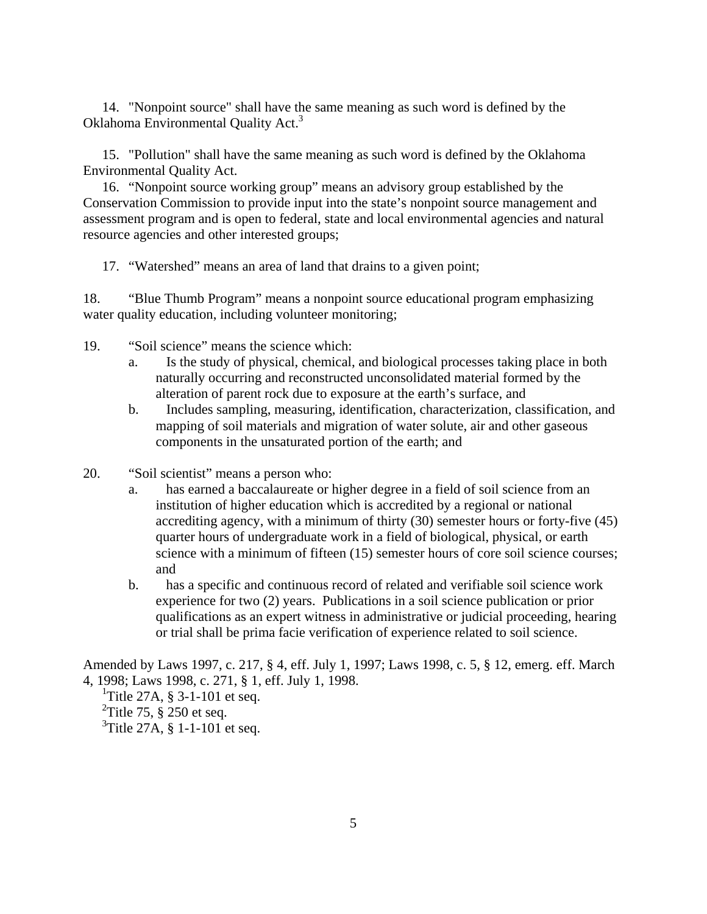14. "Nonpoint source" shall have the same meaning as such word is defined by the Oklahoma Environmental Quality Act.<sup>3</sup>

 15. "Pollution" shall have the same meaning as such word is defined by the Oklahoma Environmental Quality Act.

 16. "Nonpoint source working group" means an advisory group established by the Conservation Commission to provide input into the state's nonpoint source management and assessment program and is open to federal, state and local environmental agencies and natural resource agencies and other interested groups;

17. "Watershed" means an area of land that drains to a given point;

18. "Blue Thumb Program" means a nonpoint source educational program emphasizing water quality education, including volunteer monitoring;

19. "Soil science" means the science which:

- a. Is the study of physical, chemical, and biological processes taking place in both naturally occurring and reconstructed unconsolidated material formed by the alteration of parent rock due to exposure at the earth's surface, and
- b. Includes sampling, measuring, identification, characterization, classification, and mapping of soil materials and migration of water solute, air and other gaseous components in the unsaturated portion of the earth; and
- 20. "Soil scientist" means a person who:
	- a. has earned a baccalaureate or higher degree in a field of soil science from an institution of higher education which is accredited by a regional or national accrediting agency, with a minimum of thirty (30) semester hours or forty-five (45) quarter hours of undergraduate work in a field of biological, physical, or earth science with a minimum of fifteen (15) semester hours of core soil science courses; and
	- b. has a specific and continuous record of related and verifiable soil science work experience for two (2) years. Publications in a soil science publication or prior qualifications as an expert witness in administrative or judicial proceeding, hearing or trial shall be prima facie verification of experience related to soil science.

Amended by Laws 1997, c. 217, § 4, eff. July 1, 1997; Laws 1998, c. 5, § 12, emerg. eff. March 4, 1998; Laws 1998, c. 271, § 1, eff. July 1, 1998.

<sup>1</sup>Title 27A,  $\S 3$ -1-101 et seq. <sup>2</sup>Title 75,  $\S$  250 et seq.  ${}^{3}$ Title 27A, § 1-1-101 et seq.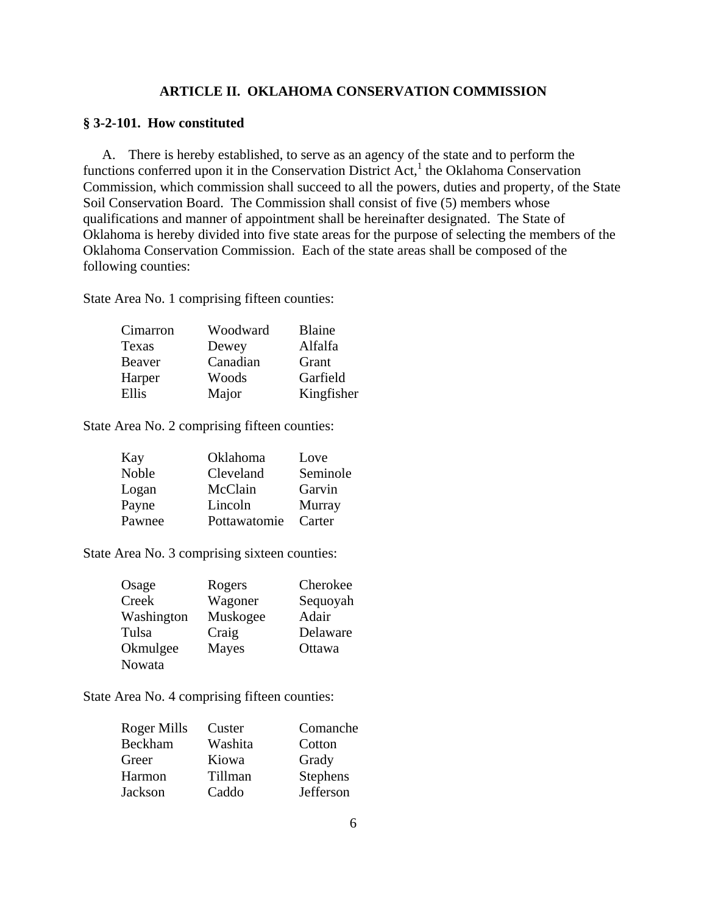# **ARTICLE II. OKLAHOMA CONSERVATION COMMISSION**

### **§ 3-2-101. How constituted**

 A. There is hereby established, to serve as an agency of the state and to perform the functions conferred upon it in the Conservation District Act,<sup>1</sup> the Oklahoma Conservation Commission, which commission shall succeed to all the powers, duties and property, of the State Soil Conservation Board. The Commission shall consist of five (5) members whose qualifications and manner of appointment shall be hereinafter designated. The State of Oklahoma is hereby divided into five state areas for the purpose of selecting the members of the Oklahoma Conservation Commission. Each of the state areas shall be composed of the following counties:

State Area No. 1 comprising fifteen counties:

| Cimarron | Woodward | <b>Blaine</b> |
|----------|----------|---------------|
| Texas    | Dewey    | Alfalfa       |
| Beaver   | Canadian | Grant         |
| Harper   | Woods    | Garfield      |
| Ellis    | Major    | Kingfisher    |

State Area No. 2 comprising fifteen counties:

| Kay    | Oklahoma     | Love     |
|--------|--------------|----------|
| Noble  | Cleveland    | Seminole |
| Logan  | McClain      | Garvin   |
| Payne  | Lincoln      | Murray   |
| Pawnee | Pottawatomie | Carter   |

State Area No. 3 comprising sixteen counties:

| Osage      | Rogers       | Cherokee |
|------------|--------------|----------|
| Creek      | Wagoner      | Sequoyah |
| Washington | Muskogee     | Adair    |
| Tulsa      | Craig        | Delaware |
| Okmulgee   | <b>Mayes</b> | Ottawa   |
| Nowata     |              |          |

State Area No. 4 comprising fifteen counties:

| Roger Mills | Custer  | Comanche  |
|-------------|---------|-----------|
| Beckham     | Washita | Cotton    |
| Greer       | Kiowa   | Grady     |
| Harmon      | Tillman | Stephens  |
| Jackson     | Caddo   | Jefferson |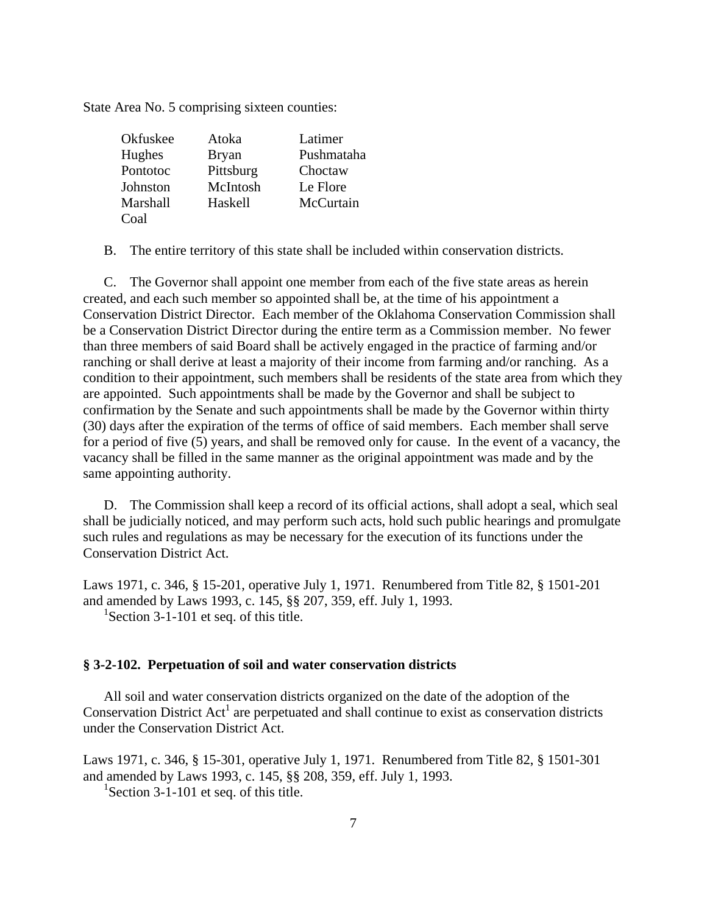State Area No. 5 comprising sixteen counties:

| Okfuskee | Atoka        | Latimer    |
|----------|--------------|------------|
| Hughes   | <b>Bryan</b> | Pushmataha |
| Pontotoc | Pittsburg    | Choctaw    |
| Johnston | McIntosh     | Le Flore   |
| Marshall | Haskell      | McCurtain  |
| Coal     |              |            |

B. The entire territory of this state shall be included within conservation districts.

 C. The Governor shall appoint one member from each of the five state areas as herein created, and each such member so appointed shall be, at the time of his appointment a Conservation District Director. Each member of the Oklahoma Conservation Commission shall be a Conservation District Director during the entire term as a Commission member. No fewer than three members of said Board shall be actively engaged in the practice of farming and/or ranching or shall derive at least a majority of their income from farming and/or ranching. As a condition to their appointment, such members shall be residents of the state area from which they are appointed. Such appointments shall be made by the Governor and shall be subject to confirmation by the Senate and such appointments shall be made by the Governor within thirty (30) days after the expiration of the terms of office of said members. Each member shall serve for a period of five (5) years, and shall be removed only for cause. In the event of a vacancy, the vacancy shall be filled in the same manner as the original appointment was made and by the same appointing authority.

 D. The Commission shall keep a record of its official actions, shall adopt a seal, which seal shall be judicially noticed, and may perform such acts, hold such public hearings and promulgate such rules and regulations as may be necessary for the execution of its functions under the Conservation District Act.

Laws 1971, c. 346, § 15-201, operative July 1, 1971. Renumbered from Title 82, § 1501-201 and amended by Laws 1993, c. 145, §§ 207, 359, eff. July 1, 1993. <sup>1</sup>Section 3-1-101 et seq. of this title.

### **§ 3-2-102. Perpetuation of soil and water conservation districts**

 All soil and water conservation districts organized on the date of the adoption of the Conservation District  $Act<sup>1</sup>$  are perpetuated and shall continue to exist as conservation districts under the Conservation District Act.

Laws 1971, c. 346, § 15-301, operative July 1, 1971. Renumbered from Title 82, § 1501-301 and amended by Laws 1993, c. 145, §§ 208, 359, eff. July 1, 1993.

<sup>1</sup>Section 3-1-101 et seq. of this title.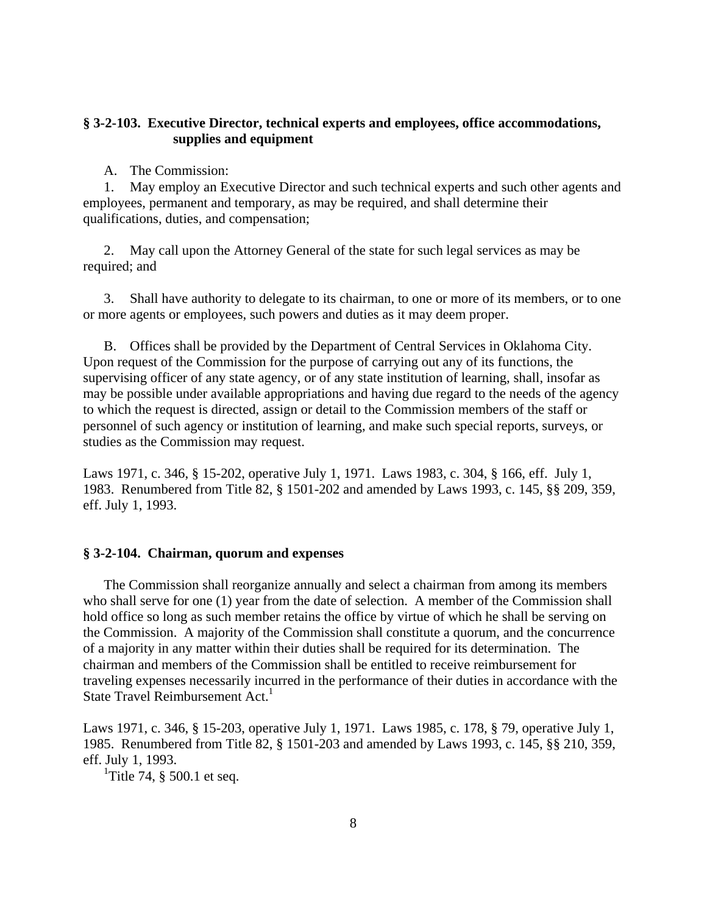# **§ 3-2-103. Executive Director, technical experts and employees, office accommodations, supplies and equipment**

A. The Commission:

 1. May employ an Executive Director and such technical experts and such other agents and employees, permanent and temporary, as may be required, and shall determine their qualifications, duties, and compensation;

 2. May call upon the Attorney General of the state for such legal services as may be required; and

 3. Shall have authority to delegate to its chairman, to one or more of its members, or to one or more agents or employees, such powers and duties as it may deem proper.

 B. Offices shall be provided by the Department of Central Services in Oklahoma City. Upon request of the Commission for the purpose of carrying out any of its functions, the supervising officer of any state agency, or of any state institution of learning, shall, insofar as may be possible under available appropriations and having due regard to the needs of the agency to which the request is directed, assign or detail to the Commission members of the staff or personnel of such agency or institution of learning, and make such special reports, surveys, or studies as the Commission may request.

Laws 1971, c. 346, § 15-202, operative July 1, 1971. Laws 1983, c. 304, § 166, eff. July 1, 1983. Renumbered from Title 82, § 1501-202 and amended by Laws 1993, c. 145, §§ 209, 359, eff. July 1, 1993.

## **§ 3-2-104. Chairman, quorum and expenses**

 The Commission shall reorganize annually and select a chairman from among its members who shall serve for one (1) year from the date of selection. A member of the Commission shall hold office so long as such member retains the office by virtue of which he shall be serving on the Commission. A majority of the Commission shall constitute a quorum, and the concurrence of a majority in any matter within their duties shall be required for its determination. The chairman and members of the Commission shall be entitled to receive reimbursement for traveling expenses necessarily incurred in the performance of their duties in accordance with the State Travel Reimbursement Act.<sup>1</sup>

Laws 1971, c. 346, § 15-203, operative July 1, 1971. Laws 1985, c. 178, § 79, operative July 1, 1985. Renumbered from Title 82, § 1501-203 and amended by Laws 1993, c. 145, §§ 210, 359, eff. July 1, 1993.

<sup>1</sup>Title 74,  $\S$  500.1 et seq.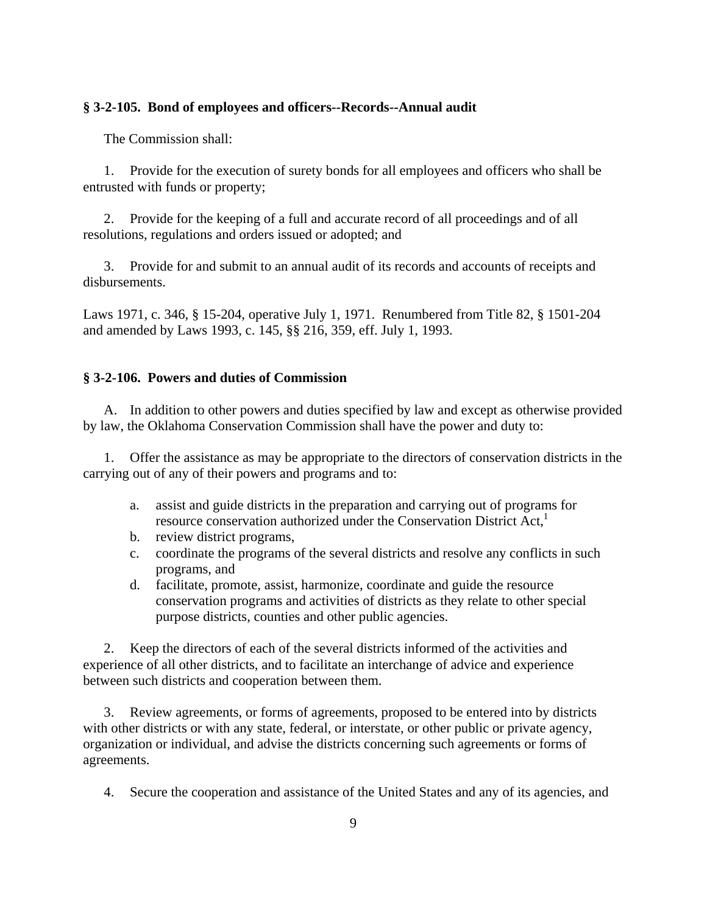### **§ 3-2-105. Bond of employees and officers--Records--Annual audit**

The Commission shall:

 1. Provide for the execution of surety bonds for all employees and officers who shall be entrusted with funds or property;

 2. Provide for the keeping of a full and accurate record of all proceedings and of all resolutions, regulations and orders issued or adopted; and

 3. Provide for and submit to an annual audit of its records and accounts of receipts and disbursements.

Laws 1971, c. 346, § 15-204, operative July 1, 1971. Renumbered from Title 82, § 1501-204 and amended by Laws 1993, c. 145, §§ 216, 359, eff. July 1, 1993.

## **§ 3-2-106. Powers and duties of Commission**

 A. In addition to other powers and duties specified by law and except as otherwise provided by law, the Oklahoma Conservation Commission shall have the power and duty to:

 1. Offer the assistance as may be appropriate to the directors of conservation districts in the carrying out of any of their powers and programs and to:

- a. assist and guide districts in the preparation and carrying out of programs for resource conservation authorized under the Conservation District Act.<sup>1</sup>
- b. review district programs,
- c. coordinate the programs of the several districts and resolve any conflicts in such programs, and
- d. facilitate, promote, assist, harmonize, coordinate and guide the resource conservation programs and activities of districts as they relate to other special purpose districts, counties and other public agencies.

 2. Keep the directors of each of the several districts informed of the activities and experience of all other districts, and to facilitate an interchange of advice and experience between such districts and cooperation between them.

 3. Review agreements, or forms of agreements, proposed to be entered into by districts with other districts or with any state, federal, or interstate, or other public or private agency, organization or individual, and advise the districts concerning such agreements or forms of agreements.

4. Secure the cooperation and assistance of the United States and any of its agencies, and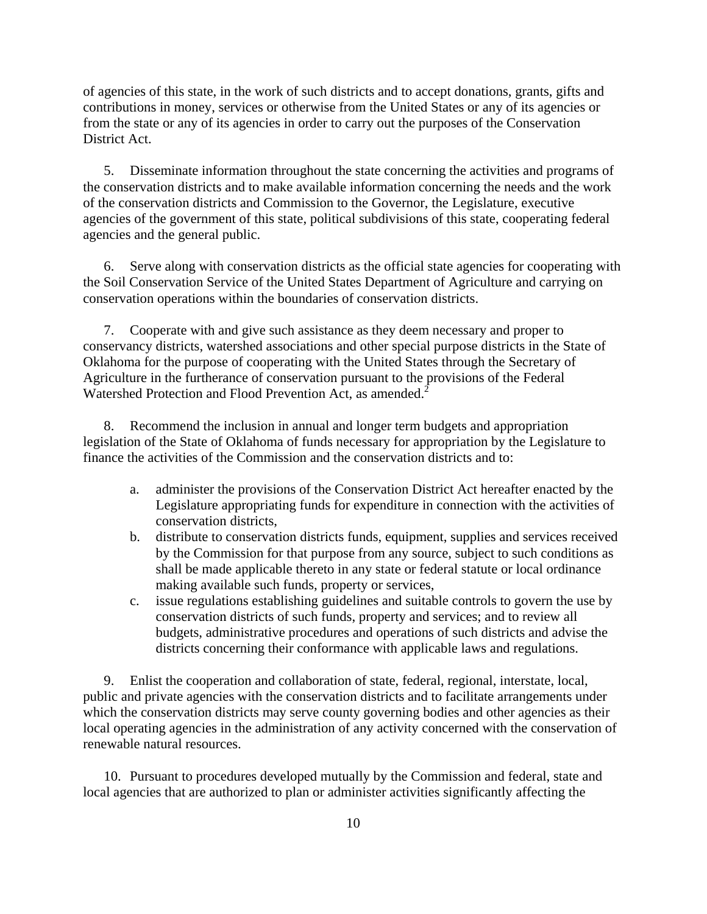of agencies of this state, in the work of such districts and to accept donations, grants, gifts and contributions in money, services or otherwise from the United States or any of its agencies or from the state or any of its agencies in order to carry out the purposes of the Conservation District Act.

 5. Disseminate information throughout the state concerning the activities and programs of the conservation districts and to make available information concerning the needs and the work of the conservation districts and Commission to the Governor, the Legislature, executive agencies of the government of this state, political subdivisions of this state, cooperating federal agencies and the general public.

 6. Serve along with conservation districts as the official state agencies for cooperating with the Soil Conservation Service of the United States Department of Agriculture and carrying on conservation operations within the boundaries of conservation districts.

 7. Cooperate with and give such assistance as they deem necessary and proper to conservancy districts, watershed associations and other special purpose districts in the State of Oklahoma for the purpose of cooperating with the United States through the Secretary of Agriculture in the furtherance of conservation pursuant to the provisions of the Federal Watershed Protection and Flood Prevention Act, as amended.<sup>2</sup>

 8. Recommend the inclusion in annual and longer term budgets and appropriation legislation of the State of Oklahoma of funds necessary for appropriation by the Legislature to finance the activities of the Commission and the conservation districts and to:

- a. administer the provisions of the Conservation District Act hereafter enacted by the Legislature appropriating funds for expenditure in connection with the activities of conservation districts,
- b. distribute to conservation districts funds, equipment, supplies and services received by the Commission for that purpose from any source, subject to such conditions as shall be made applicable thereto in any state or federal statute or local ordinance making available such funds, property or services,
- c. issue regulations establishing guidelines and suitable controls to govern the use by conservation districts of such funds, property and services; and to review all budgets, administrative procedures and operations of such districts and advise the districts concerning their conformance with applicable laws and regulations.

 9. Enlist the cooperation and collaboration of state, federal, regional, interstate, local, public and private agencies with the conservation districts and to facilitate arrangements under which the conservation districts may serve county governing bodies and other agencies as their local operating agencies in the administration of any activity concerned with the conservation of renewable natural resources.

 10. Pursuant to procedures developed mutually by the Commission and federal, state and local agencies that are authorized to plan or administer activities significantly affecting the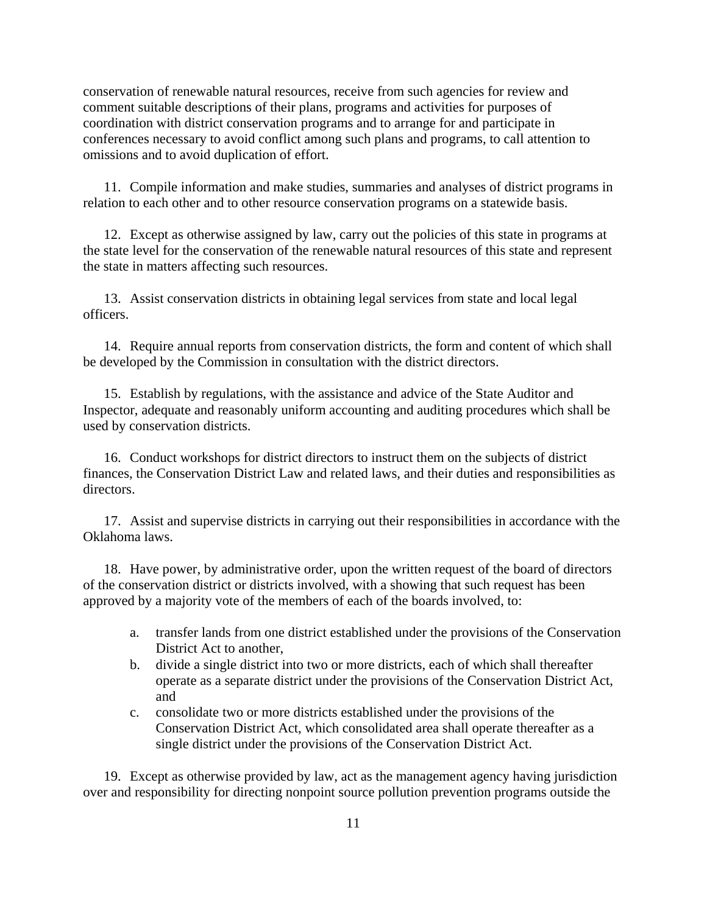conservation of renewable natural resources, receive from such agencies for review and comment suitable descriptions of their plans, programs and activities for purposes of coordination with district conservation programs and to arrange for and participate in conferences necessary to avoid conflict among such plans and programs, to call attention to omissions and to avoid duplication of effort.

 11. Compile information and make studies, summaries and analyses of district programs in relation to each other and to other resource conservation programs on a statewide basis.

 12. Except as otherwise assigned by law, carry out the policies of this state in programs at the state level for the conservation of the renewable natural resources of this state and represent the state in matters affecting such resources.

 13. Assist conservation districts in obtaining legal services from state and local legal officers.

 14. Require annual reports from conservation districts, the form and content of which shall be developed by the Commission in consultation with the district directors.

 15. Establish by regulations, with the assistance and advice of the State Auditor and Inspector, adequate and reasonably uniform accounting and auditing procedures which shall be used by conservation districts.

 16. Conduct workshops for district directors to instruct them on the subjects of district finances, the Conservation District Law and related laws, and their duties and responsibilities as directors.

 17. Assist and supervise districts in carrying out their responsibilities in accordance with the Oklahoma laws.

 18. Have power, by administrative order, upon the written request of the board of directors of the conservation district or districts involved, with a showing that such request has been approved by a majority vote of the members of each of the boards involved, to:

- a. transfer lands from one district established under the provisions of the Conservation District Act to another,
- b. divide a single district into two or more districts, each of which shall thereafter operate as a separate district under the provisions of the Conservation District Act, and
- c. consolidate two or more districts established under the provisions of the Conservation District Act, which consolidated area shall operate thereafter as a single district under the provisions of the Conservation District Act.

 19. Except as otherwise provided by law, act as the management agency having jurisdiction over and responsibility for directing nonpoint source pollution prevention programs outside the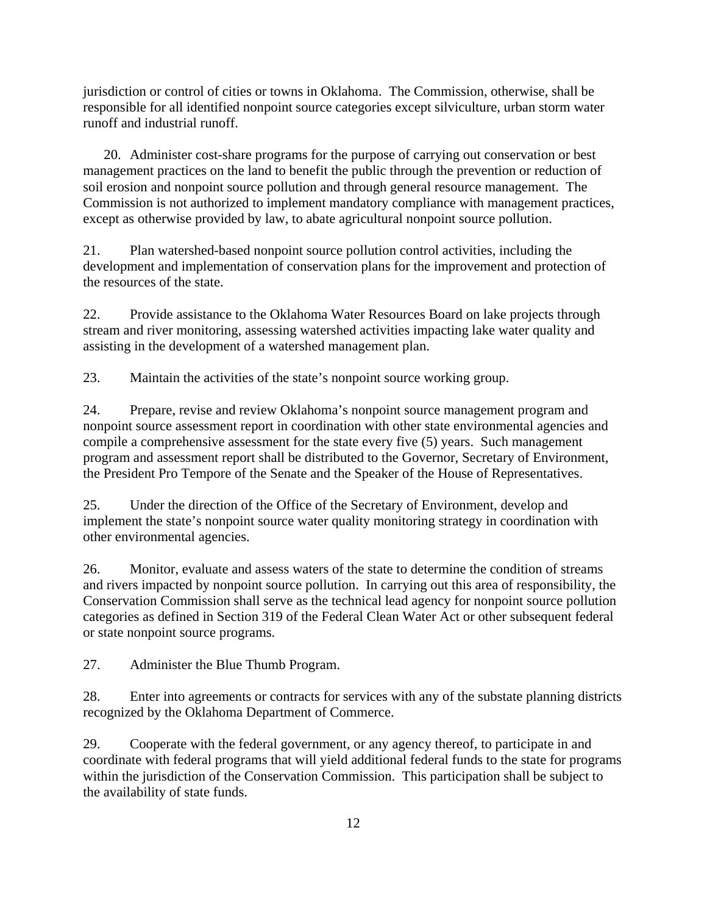jurisdiction or control of cities or towns in Oklahoma. The Commission, otherwise, shall be responsible for all identified nonpoint source categories except silviculture, urban storm water runoff and industrial runoff.

 20. Administer cost-share programs for the purpose of carrying out conservation or best management practices on the land to benefit the public through the prevention or reduction of soil erosion and nonpoint source pollution and through general resource management. The Commission is not authorized to implement mandatory compliance with management practices, except as otherwise provided by law, to abate agricultural nonpoint source pollution.

21. Plan watershed-based nonpoint source pollution control activities, including the development and implementation of conservation plans for the improvement and protection of the resources of the state.

22. Provide assistance to the Oklahoma Water Resources Board on lake projects through stream and river monitoring, assessing watershed activities impacting lake water quality and assisting in the development of a watershed management plan.

23. Maintain the activities of the state's nonpoint source working group.

24. Prepare, revise and review Oklahoma's nonpoint source management program and nonpoint source assessment report in coordination with other state environmental agencies and compile a comprehensive assessment for the state every five (5) years. Such management program and assessment report shall be distributed to the Governor, Secretary of Environment, the President Pro Tempore of the Senate and the Speaker of the House of Representatives.

25. Under the direction of the Office of the Secretary of Environment, develop and implement the state's nonpoint source water quality monitoring strategy in coordination with other environmental agencies.

26. Monitor, evaluate and assess waters of the state to determine the condition of streams and rivers impacted by nonpoint source pollution. In carrying out this area of responsibility, the Conservation Commission shall serve as the technical lead agency for nonpoint source pollution categories as defined in Section 319 of the Federal Clean Water Act or other subsequent federal or state nonpoint source programs.

27. Administer the Blue Thumb Program.

28. Enter into agreements or contracts for services with any of the substate planning districts recognized by the Oklahoma Department of Commerce.

29. Cooperate with the federal government, or any agency thereof, to participate in and coordinate with federal programs that will yield additional federal funds to the state for programs within the jurisdiction of the Conservation Commission. This participation shall be subject to the availability of state funds.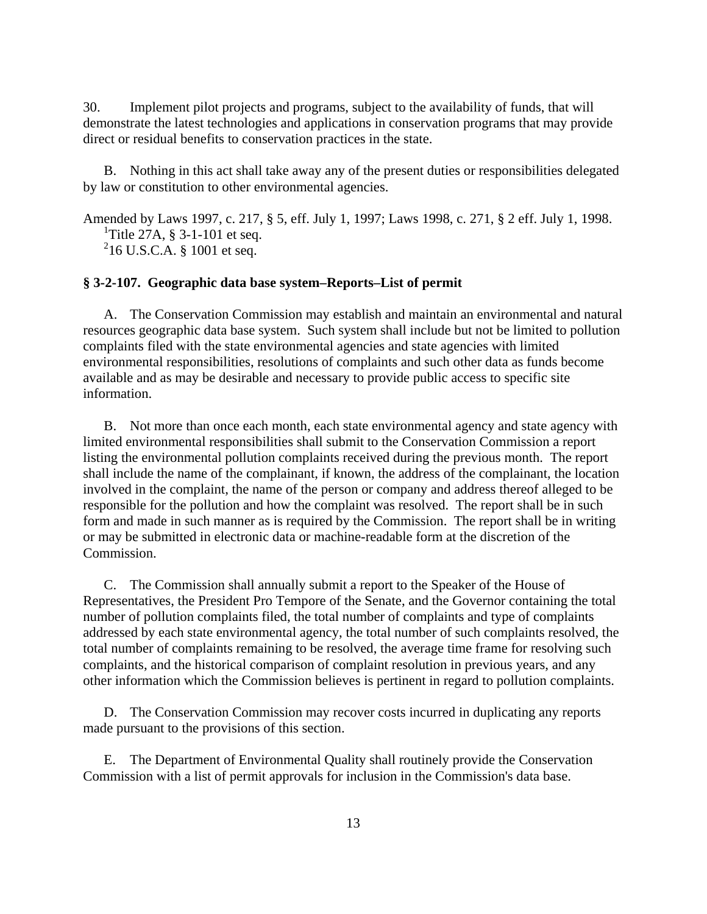30. Implement pilot projects and programs, subject to the availability of funds, that will demonstrate the latest technologies and applications in conservation programs that may provide direct or residual benefits to conservation practices in the state.

 B. Nothing in this act shall take away any of the present duties or responsibilities delegated by law or constitution to other environmental agencies.

Amended by Laws 1997, c. 217, § 5, eff. July 1, 1997; Laws 1998, c. 271, § 2 eff. July 1, 1998. <sup>1</sup>Title 27A,  $\S 3$ -1-101 et seq. 2 16 U.S.C.A. § 1001 et seq.

## **§ 3-2-107. Geographic data base system–Reports–List of permit**

 A. The Conservation Commission may establish and maintain an environmental and natural resources geographic data base system. Such system shall include but not be limited to pollution complaints filed with the state environmental agencies and state agencies with limited environmental responsibilities, resolutions of complaints and such other data as funds become available and as may be desirable and necessary to provide public access to specific site information.

 B. Not more than once each month, each state environmental agency and state agency with limited environmental responsibilities shall submit to the Conservation Commission a report listing the environmental pollution complaints received during the previous month. The report shall include the name of the complainant, if known, the address of the complainant, the location involved in the complaint, the name of the person or company and address thereof alleged to be responsible for the pollution and how the complaint was resolved. The report shall be in such form and made in such manner as is required by the Commission. The report shall be in writing or may be submitted in electronic data or machine-readable form at the discretion of the Commission.

 C. The Commission shall annually submit a report to the Speaker of the House of Representatives, the President Pro Tempore of the Senate, and the Governor containing the total number of pollution complaints filed, the total number of complaints and type of complaints addressed by each state environmental agency, the total number of such complaints resolved, the total number of complaints remaining to be resolved, the average time frame for resolving such complaints, and the historical comparison of complaint resolution in previous years, and any other information which the Commission believes is pertinent in regard to pollution complaints.

 D. The Conservation Commission may recover costs incurred in duplicating any reports made pursuant to the provisions of this section.

 E. The Department of Environmental Quality shall routinely provide the Conservation Commission with a list of permit approvals for inclusion in the Commission's data base.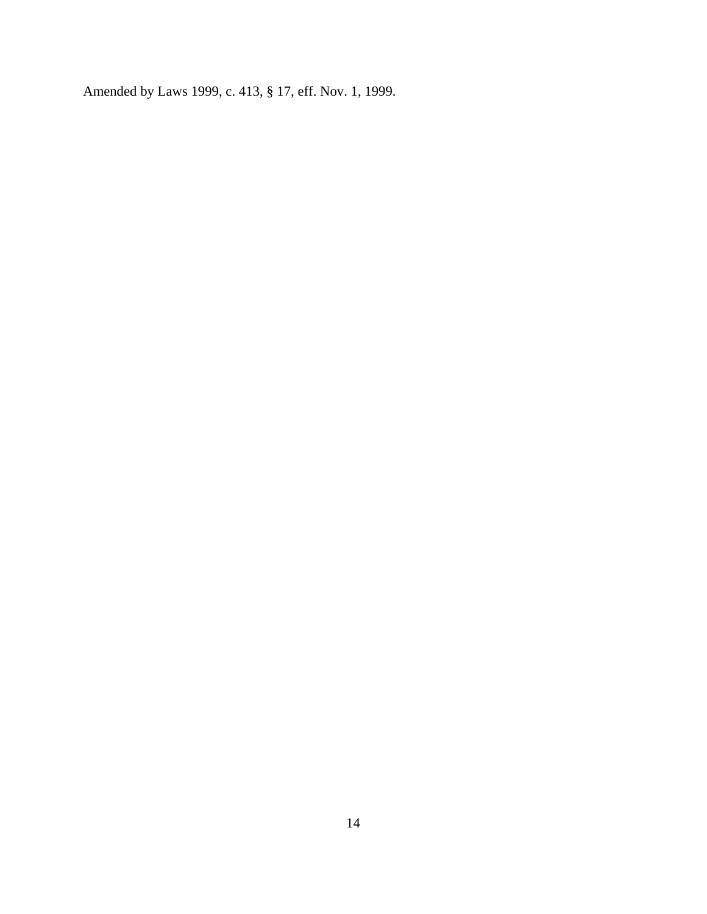Amended by Laws 1999, c. 413, § 17, eff. Nov. 1, 1999.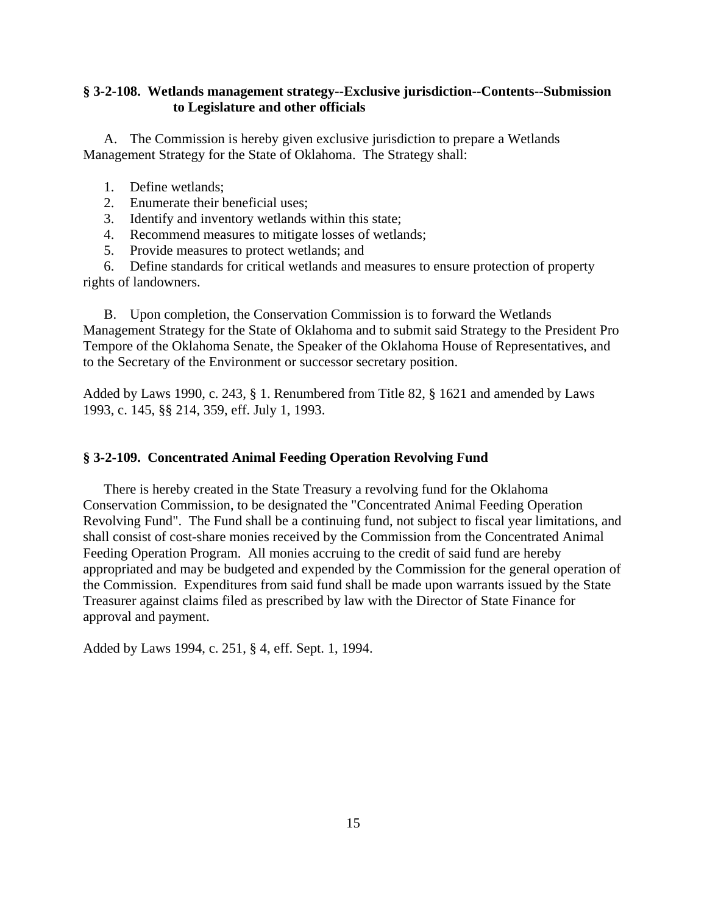# **§ 3-2-108. Wetlands management strategy--Exclusive jurisdiction--Contents--Submission to Legislature and other officials**

 A. The Commission is hereby given exclusive jurisdiction to prepare a Wetlands Management Strategy for the State of Oklahoma. The Strategy shall:

- 1. Define wetlands;
- 2. Enumerate their beneficial uses;
- 3. Identify and inventory wetlands within this state;
- 4. Recommend measures to mitigate losses of wetlands;
- 5. Provide measures to protect wetlands; and

 6. Define standards for critical wetlands and measures to ensure protection of property rights of landowners.

 B. Upon completion, the Conservation Commission is to forward the Wetlands Management Strategy for the State of Oklahoma and to submit said Strategy to the President Pro Tempore of the Oklahoma Senate, the Speaker of the Oklahoma House of Representatives, and to the Secretary of the Environment or successor secretary position.

Added by Laws 1990, c. 243, § 1. Renumbered from Title 82, § 1621 and amended by Laws 1993, c. 145, §§ 214, 359, eff. July 1, 1993.

### **§ 3-2-109. Concentrated Animal Feeding Operation Revolving Fund**

 There is hereby created in the State Treasury a revolving fund for the Oklahoma Conservation Commission, to be designated the "Concentrated Animal Feeding Operation Revolving Fund". The Fund shall be a continuing fund, not subject to fiscal year limitations, and shall consist of cost-share monies received by the Commission from the Concentrated Animal Feeding Operation Program. All monies accruing to the credit of said fund are hereby appropriated and may be budgeted and expended by the Commission for the general operation of the Commission. Expenditures from said fund shall be made upon warrants issued by the State Treasurer against claims filed as prescribed by law with the Director of State Finance for approval and payment.

Added by Laws 1994, c. 251, § 4, eff. Sept. 1, 1994.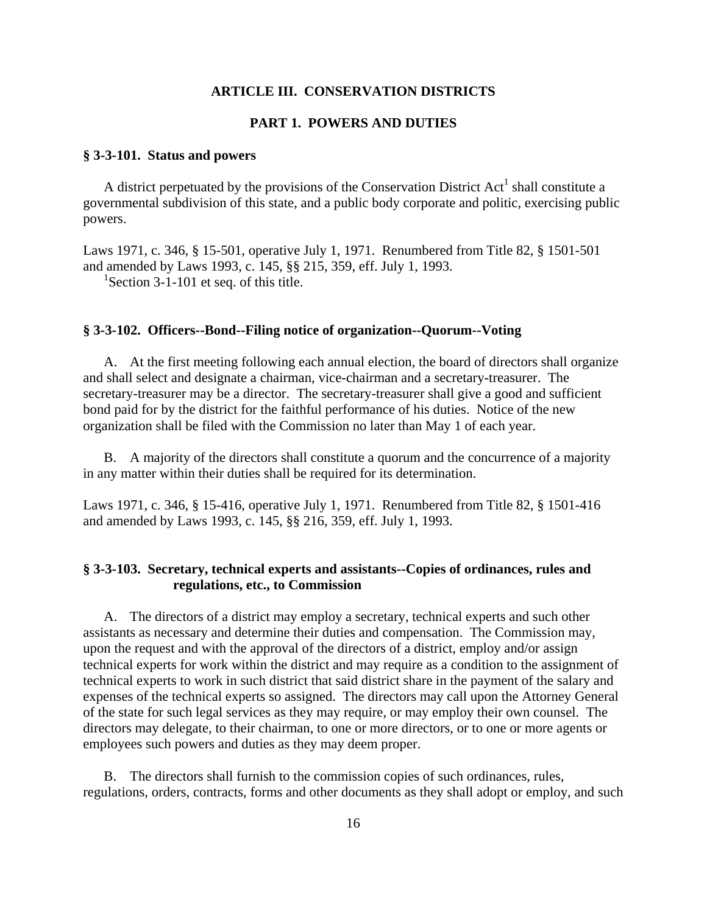### **ARTICLE III. CONSERVATION DISTRICTS**

## **PART 1. POWERS AND DUTIES**

### **§ 3-3-101. Status and powers**

A district perpetuated by the provisions of the Conservation District  $Act<sup>1</sup>$  shall constitute a governmental subdivision of this state, and a public body corporate and politic, exercising public powers.

Laws 1971, c. 346, § 15-501, operative July 1, 1971. Renumbered from Title 82, § 1501-501 and amended by Laws 1993, c. 145, §§ 215, 359, eff. July 1, 1993.

<sup>1</sup>Section 3-1-101 et seq. of this title.

## **§ 3-3-102. Officers--Bond--Filing notice of organization--Quorum--Voting**

 A. At the first meeting following each annual election, the board of directors shall organize and shall select and designate a chairman, vice-chairman and a secretary-treasurer. The secretary-treasurer may be a director. The secretary-treasurer shall give a good and sufficient bond paid for by the district for the faithful performance of his duties. Notice of the new organization shall be filed with the Commission no later than May 1 of each year.

 B. A majority of the directors shall constitute a quorum and the concurrence of a majority in any matter within their duties shall be required for its determination.

Laws 1971, c. 346, § 15-416, operative July 1, 1971. Renumbered from Title 82, § 1501-416 and amended by Laws 1993, c. 145, §§ 216, 359, eff. July 1, 1993.

# **§ 3-3-103. Secretary, technical experts and assistants--Copies of ordinances, rules and regulations, etc., to Commission**

 A. The directors of a district may employ a secretary, technical experts and such other assistants as necessary and determine their duties and compensation. The Commission may, upon the request and with the approval of the directors of a district, employ and/or assign technical experts for work within the district and may require as a condition to the assignment of technical experts to work in such district that said district share in the payment of the salary and expenses of the technical experts so assigned. The directors may call upon the Attorney General of the state for such legal services as they may require, or may employ their own counsel. The directors may delegate, to their chairman, to one or more directors, or to one or more agents or employees such powers and duties as they may deem proper.

 B. The directors shall furnish to the commission copies of such ordinances, rules, regulations, orders, contracts, forms and other documents as they shall adopt or employ, and such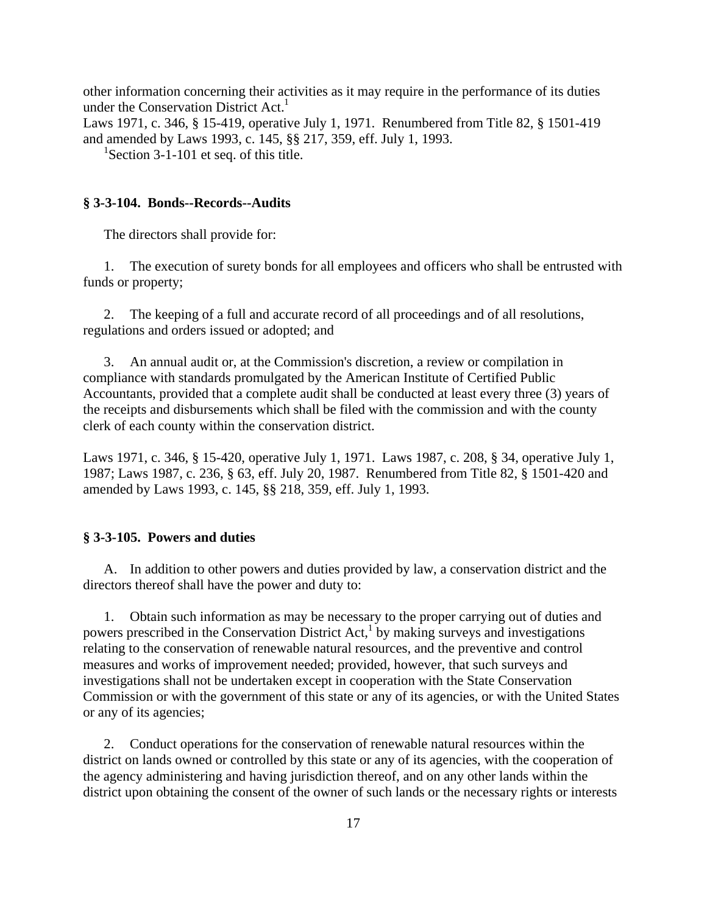other information concerning their activities as it may require in the performance of its duties under the Conservation District  $Act<sup>1</sup>$ 

Laws 1971, c. 346, § 15-419, operative July 1, 1971. Renumbered from Title 82, § 1501-419 and amended by Laws 1993, c. 145, §§ 217, 359, eff. July 1, 1993.

<sup>1</sup>Section 3-1-101 et seq. of this title.

## **§ 3-3-104. Bonds--Records--Audits**

The directors shall provide for:

 1. The execution of surety bonds for all employees and officers who shall be entrusted with funds or property;

 2. The keeping of a full and accurate record of all proceedings and of all resolutions, regulations and orders issued or adopted; and

 3. An annual audit or, at the Commission's discretion, a review or compilation in compliance with standards promulgated by the American Institute of Certified Public Accountants, provided that a complete audit shall be conducted at least every three (3) years of the receipts and disbursements which shall be filed with the commission and with the county clerk of each county within the conservation district.

Laws 1971, c. 346, § 15-420, operative July 1, 1971. Laws 1987, c. 208, § 34, operative July 1, 1987; Laws 1987, c. 236, § 63, eff. July 20, 1987. Renumbered from Title 82, § 1501-420 and amended by Laws 1993, c. 145, §§ 218, 359, eff. July 1, 1993.

### **§ 3-3-105. Powers and duties**

 A. In addition to other powers and duties provided by law, a conservation district and the directors thereof shall have the power and duty to:

 1. Obtain such information as may be necessary to the proper carrying out of duties and powers prescribed in the Conservation District Act,<sup>1</sup> by making surveys and investigations relating to the conservation of renewable natural resources, and the preventive and control measures and works of improvement needed; provided, however, that such surveys and investigations shall not be undertaken except in cooperation with the State Conservation Commission or with the government of this state or any of its agencies, or with the United States or any of its agencies;

 2. Conduct operations for the conservation of renewable natural resources within the district on lands owned or controlled by this state or any of its agencies, with the cooperation of the agency administering and having jurisdiction thereof, and on any other lands within the district upon obtaining the consent of the owner of such lands or the necessary rights or interests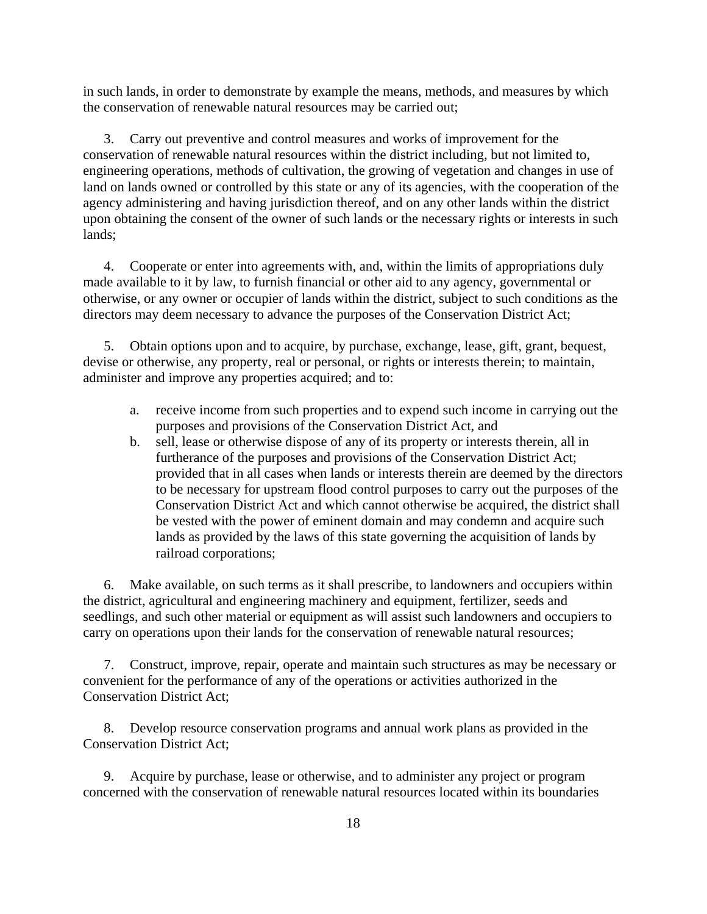in such lands, in order to demonstrate by example the means, methods, and measures by which the conservation of renewable natural resources may be carried out;

 3. Carry out preventive and control measures and works of improvement for the conservation of renewable natural resources within the district including, but not limited to, engineering operations, methods of cultivation, the growing of vegetation and changes in use of land on lands owned or controlled by this state or any of its agencies, with the cooperation of the agency administering and having jurisdiction thereof, and on any other lands within the district upon obtaining the consent of the owner of such lands or the necessary rights or interests in such lands;

 4. Cooperate or enter into agreements with, and, within the limits of appropriations duly made available to it by law, to furnish financial or other aid to any agency, governmental or otherwise, or any owner or occupier of lands within the district, subject to such conditions as the directors may deem necessary to advance the purposes of the Conservation District Act;

 5. Obtain options upon and to acquire, by purchase, exchange, lease, gift, grant, bequest, devise or otherwise, any property, real or personal, or rights or interests therein; to maintain, administer and improve any properties acquired; and to:

- a. receive income from such properties and to expend such income in carrying out the purposes and provisions of the Conservation District Act, and
- b. sell, lease or otherwise dispose of any of its property or interests therein, all in furtherance of the purposes and provisions of the Conservation District Act; provided that in all cases when lands or interests therein are deemed by the directors to be necessary for upstream flood control purposes to carry out the purposes of the Conservation District Act and which cannot otherwise be acquired, the district shall be vested with the power of eminent domain and may condemn and acquire such lands as provided by the laws of this state governing the acquisition of lands by railroad corporations;

 6. Make available, on such terms as it shall prescribe, to landowners and occupiers within the district, agricultural and engineering machinery and equipment, fertilizer, seeds and seedlings, and such other material or equipment as will assist such landowners and occupiers to carry on operations upon their lands for the conservation of renewable natural resources;

 7. Construct, improve, repair, operate and maintain such structures as may be necessary or convenient for the performance of any of the operations or activities authorized in the Conservation District Act;

 8. Develop resource conservation programs and annual work plans as provided in the Conservation District Act;

 9. Acquire by purchase, lease or otherwise, and to administer any project or program concerned with the conservation of renewable natural resources located within its boundaries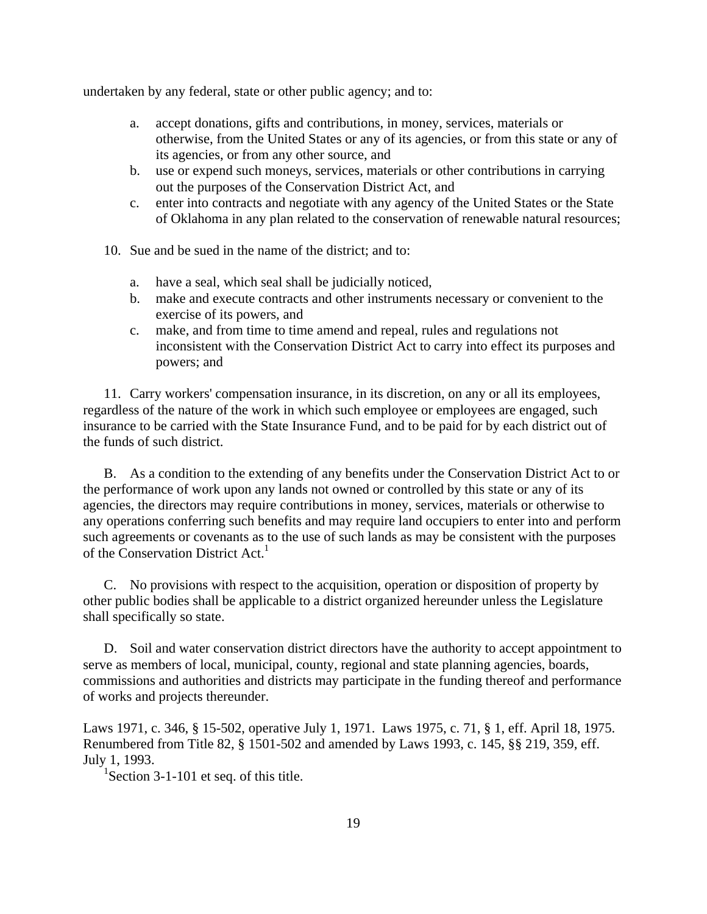undertaken by any federal, state or other public agency; and to:

- a. accept donations, gifts and contributions, in money, services, materials or otherwise, from the United States or any of its agencies, or from this state or any of its agencies, or from any other source, and
- b. use or expend such moneys, services, materials or other contributions in carrying out the purposes of the Conservation District Act, and
- c. enter into contracts and negotiate with any agency of the United States or the State of Oklahoma in any plan related to the conservation of renewable natural resources;
- 10. Sue and be sued in the name of the district; and to:
	- a. have a seal, which seal shall be judicially noticed,
	- b. make and execute contracts and other instruments necessary or convenient to the exercise of its powers, and
	- c. make, and from time to time amend and repeal, rules and regulations not inconsistent with the Conservation District Act to carry into effect its purposes and powers; and

 11. Carry workers' compensation insurance, in its discretion, on any or all its employees, regardless of the nature of the work in which such employee or employees are engaged, such insurance to be carried with the State Insurance Fund, and to be paid for by each district out of the funds of such district.

 B. As a condition to the extending of any benefits under the Conservation District Act to or the performance of work upon any lands not owned or controlled by this state or any of its agencies, the directors may require contributions in money, services, materials or otherwise to any operations conferring such benefits and may require land occupiers to enter into and perform such agreements or covenants as to the use of such lands as may be consistent with the purposes of the Conservation District Act.<sup>1</sup>

 C. No provisions with respect to the acquisition, operation or disposition of property by other public bodies shall be applicable to a district organized hereunder unless the Legislature shall specifically so state.

 D. Soil and water conservation district directors have the authority to accept appointment to serve as members of local, municipal, county, regional and state planning agencies, boards, commissions and authorities and districts may participate in the funding thereof and performance of works and projects thereunder.

Laws 1971, c. 346, § 15-502, operative July 1, 1971. Laws 1975, c. 71, § 1, eff. April 18, 1975. Renumbered from Title 82, § 1501-502 and amended by Laws 1993, c. 145, §§ 219, 359, eff. July 1, 1993.

<sup>1</sup>Section 3-1-101 et seq. of this title.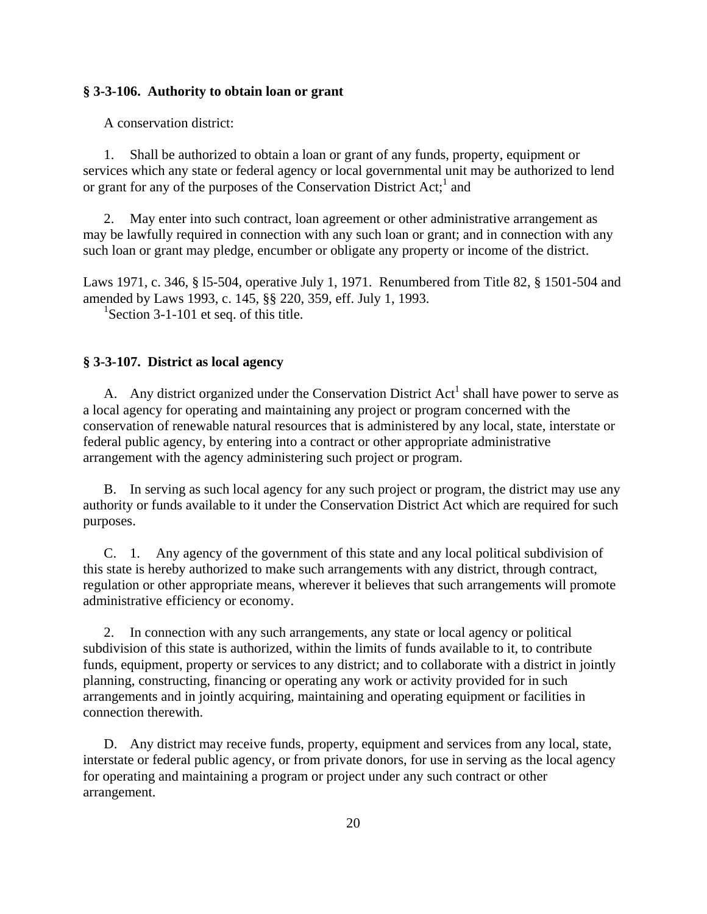## **§ 3-3-106. Authority to obtain loan or grant**

A conservation district:

 1. Shall be authorized to obtain a loan or grant of any funds, property, equipment or services which any state or federal agency or local governmental unit may be authorized to lend or grant for any of the purposes of the Conservation District Act;<sup>1</sup> and

 2. May enter into such contract, loan agreement or other administrative arrangement as may be lawfully required in connection with any such loan or grant; and in connection with any such loan or grant may pledge, encumber or obligate any property or income of the district.

Laws 1971, c. 346, § l5-504, operative July 1, 1971. Renumbered from Title 82, § 1501-504 and amended by Laws 1993, c. 145, §§ 220, 359, eff. July 1, 1993.

<sup>1</sup>Section 3-1-101 et seq. of this title.

## **§ 3-3-107. District as local agency**

A. Any district organized under the Conservation District  $Act<sup>1</sup>$  shall have power to serve as a local agency for operating and maintaining any project or program concerned with the conservation of renewable natural resources that is administered by any local, state, interstate or federal public agency, by entering into a contract or other appropriate administrative arrangement with the agency administering such project or program.

 B. In serving as such local agency for any such project or program, the district may use any authority or funds available to it under the Conservation District Act which are required for such purposes.

 C. 1. Any agency of the government of this state and any local political subdivision of this state is hereby authorized to make such arrangements with any district, through contract, regulation or other appropriate means, wherever it believes that such arrangements will promote administrative efficiency or economy.

 2. In connection with any such arrangements, any state or local agency or political subdivision of this state is authorized, within the limits of funds available to it, to contribute funds, equipment, property or services to any district; and to collaborate with a district in jointly planning, constructing, financing or operating any work or activity provided for in such arrangements and in jointly acquiring, maintaining and operating equipment or facilities in connection therewith.

 D. Any district may receive funds, property, equipment and services from any local, state, interstate or federal public agency, or from private donors, for use in serving as the local agency for operating and maintaining a program or project under any such contract or other arrangement.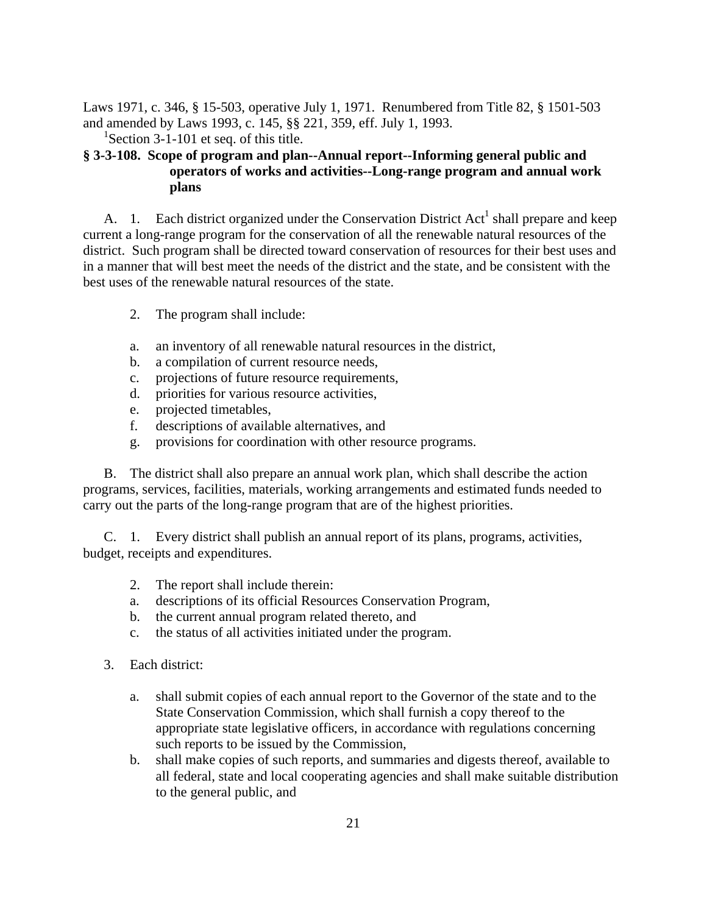Laws 1971, c. 346, § 15-503, operative July 1, 1971. Renumbered from Title 82, § 1501-503 and amended by Laws 1993, c. 145, §§ 221, 359, eff. July 1, 1993.

<sup>1</sup>Section 3-1-101 et seq. of this title.

# **§ 3-3-108. Scope of program and plan--Annual report--Informing general public and operators of works and activities--Long-range program and annual work plans**

A. 1. Each district organized under the Conservation District  $Act<sup>1</sup>$  shall prepare and keep current a long-range program for the conservation of all the renewable natural resources of the district. Such program shall be directed toward conservation of resources for their best uses and in a manner that will best meet the needs of the district and the state, and be consistent with the best uses of the renewable natural resources of the state.

- 2. The program shall include:
- a. an inventory of all renewable natural resources in the district,
- b. a compilation of current resource needs,
- c. projections of future resource requirements,
- d. priorities for various resource activities,
- e. projected timetables,
- f. descriptions of available alternatives, and
- g. provisions for coordination with other resource programs.

 B. The district shall also prepare an annual work plan, which shall describe the action programs, services, facilities, materials, working arrangements and estimated funds needed to carry out the parts of the long-range program that are of the highest priorities.

 C. 1. Every district shall publish an annual report of its plans, programs, activities, budget, receipts and expenditures.

- 2. The report shall include therein:
- a. descriptions of its official Resources Conservation Program,
- b. the current annual program related thereto, and
- c. the status of all activities initiated under the program.
- 3. Each district:
	- a. shall submit copies of each annual report to the Governor of the state and to the State Conservation Commission, which shall furnish a copy thereof to the appropriate state legislative officers, in accordance with regulations concerning such reports to be issued by the Commission,
	- b. shall make copies of such reports, and summaries and digests thereof, available to all federal, state and local cooperating agencies and shall make suitable distribution to the general public, and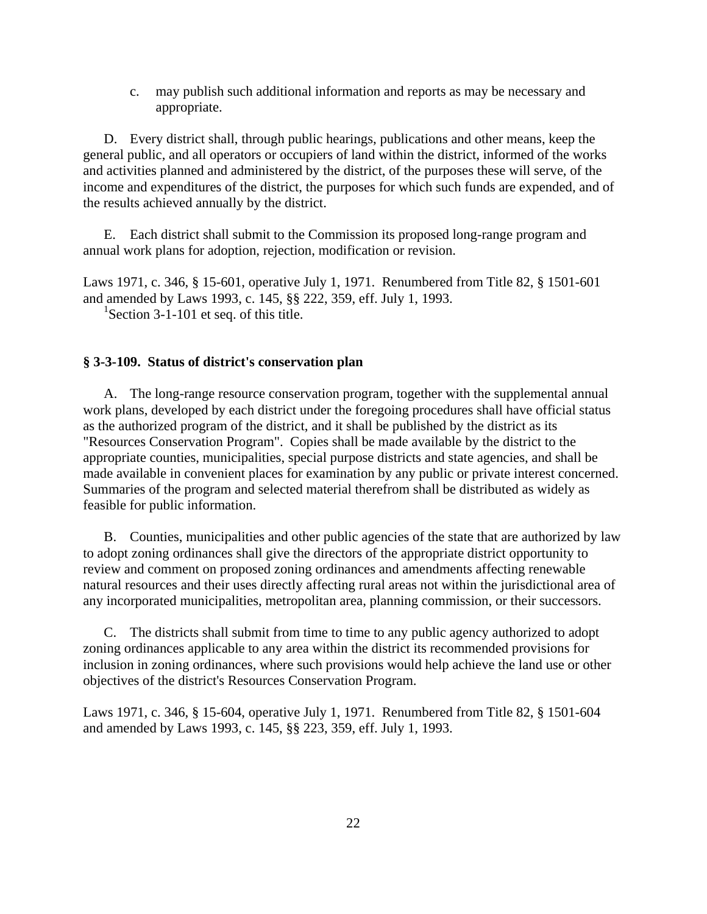c. may publish such additional information and reports as may be necessary and appropriate.

 D. Every district shall, through public hearings, publications and other means, keep the general public, and all operators or occupiers of land within the district, informed of the works and activities planned and administered by the district, of the purposes these will serve, of the income and expenditures of the district, the purposes for which such funds are expended, and of the results achieved annually by the district.

 E. Each district shall submit to the Commission its proposed long-range program and annual work plans for adoption, rejection, modification or revision.

Laws 1971, c. 346, § 15-601, operative July 1, 1971. Renumbered from Title 82, § 1501-601 and amended by Laws 1993, c. 145, §§ 222, 359, eff. July 1, 1993. <sup>1</sup>Section 3-1-101 et seq. of this title.

### **§ 3-3-109. Status of district's conservation plan**

 A. The long-range resource conservation program, together with the supplemental annual work plans, developed by each district under the foregoing procedures shall have official status as the authorized program of the district, and it shall be published by the district as its "Resources Conservation Program". Copies shall be made available by the district to the appropriate counties, municipalities, special purpose districts and state agencies, and shall be made available in convenient places for examination by any public or private interest concerned. Summaries of the program and selected material therefrom shall be distributed as widely as feasible for public information.

 B. Counties, municipalities and other public agencies of the state that are authorized by law to adopt zoning ordinances shall give the directors of the appropriate district opportunity to review and comment on proposed zoning ordinances and amendments affecting renewable natural resources and their uses directly affecting rural areas not within the jurisdictional area of any incorporated municipalities, metropolitan area, planning commission, or their successors.

 C. The districts shall submit from time to time to any public agency authorized to adopt zoning ordinances applicable to any area within the district its recommended provisions for inclusion in zoning ordinances, where such provisions would help achieve the land use or other objectives of the district's Resources Conservation Program.

Laws 1971, c. 346, § 15-604, operative July 1, 1971. Renumbered from Title 82, § 1501-604 and amended by Laws 1993, c. 145, §§ 223, 359, eff. July 1, 1993.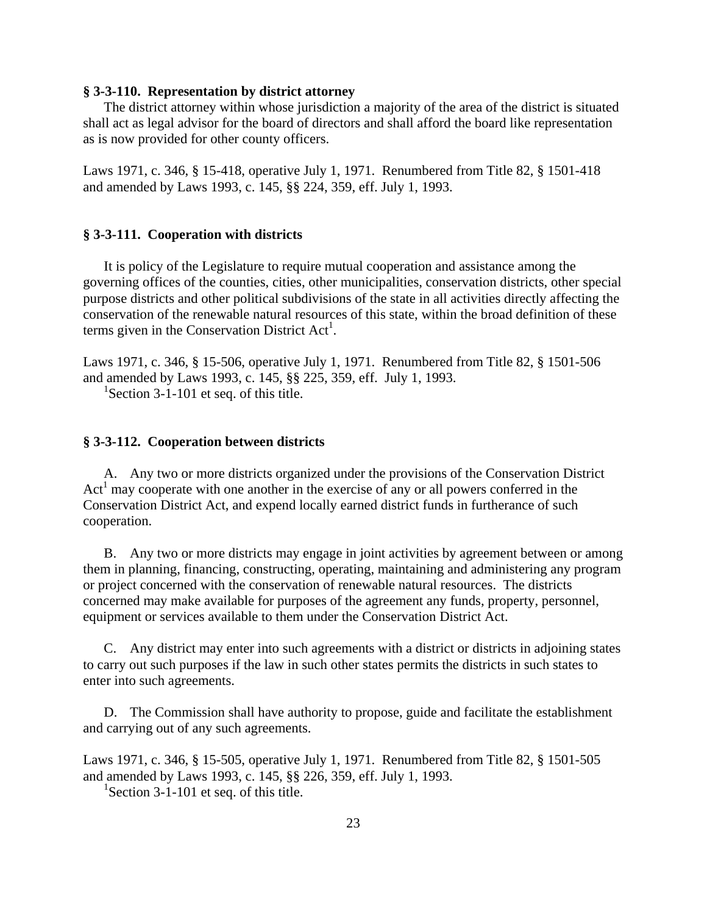### **§ 3-3-110. Representation by district attorney**

 The district attorney within whose jurisdiction a majority of the area of the district is situated shall act as legal advisor for the board of directors and shall afford the board like representation as is now provided for other county officers.

Laws 1971, c. 346, § 15-418, operative July 1, 1971. Renumbered from Title 82, § 1501-418 and amended by Laws 1993, c. 145, §§ 224, 359, eff. July 1, 1993.

### **§ 3-3-111. Cooperation with districts**

 It is policy of the Legislature to require mutual cooperation and assistance among the governing offices of the counties, cities, other municipalities, conservation districts, other special purpose districts and other political subdivisions of the state in all activities directly affecting the conservation of the renewable natural resources of this state, within the broad definition of these terms given in the Conservation District  $Act<sup>1</sup>$ .

Laws 1971, c. 346, § 15-506, operative July 1, 1971. Renumbered from Title 82, § 1501-506 and amended by Laws 1993, c. 145, §§ 225, 359, eff. July 1, 1993. <sup>1</sup>Section 3-1-101 et seq. of this title.

### **§ 3-3-112. Cooperation between districts**

 A. Any two or more districts organized under the provisions of the Conservation District  $Act<sup>1</sup>$  may cooperate with one another in the exercise of any or all powers conferred in the Conservation District Act, and expend locally earned district funds in furtherance of such cooperation.

 B. Any two or more districts may engage in joint activities by agreement between or among them in planning, financing, constructing, operating, maintaining and administering any program or project concerned with the conservation of renewable natural resources. The districts concerned may make available for purposes of the agreement any funds, property, personnel, equipment or services available to them under the Conservation District Act.

 C. Any district may enter into such agreements with a district or districts in adjoining states to carry out such purposes if the law in such other states permits the districts in such states to enter into such agreements.

 D. The Commission shall have authority to propose, guide and facilitate the establishment and carrying out of any such agreements.

Laws 1971, c. 346, § 15-505, operative July 1, 1971. Renumbered from Title 82, § 1501-505 and amended by Laws 1993, c. 145, §§ 226, 359, eff. July 1, 1993.

<sup>1</sup>Section 3-1-101 et seq. of this title.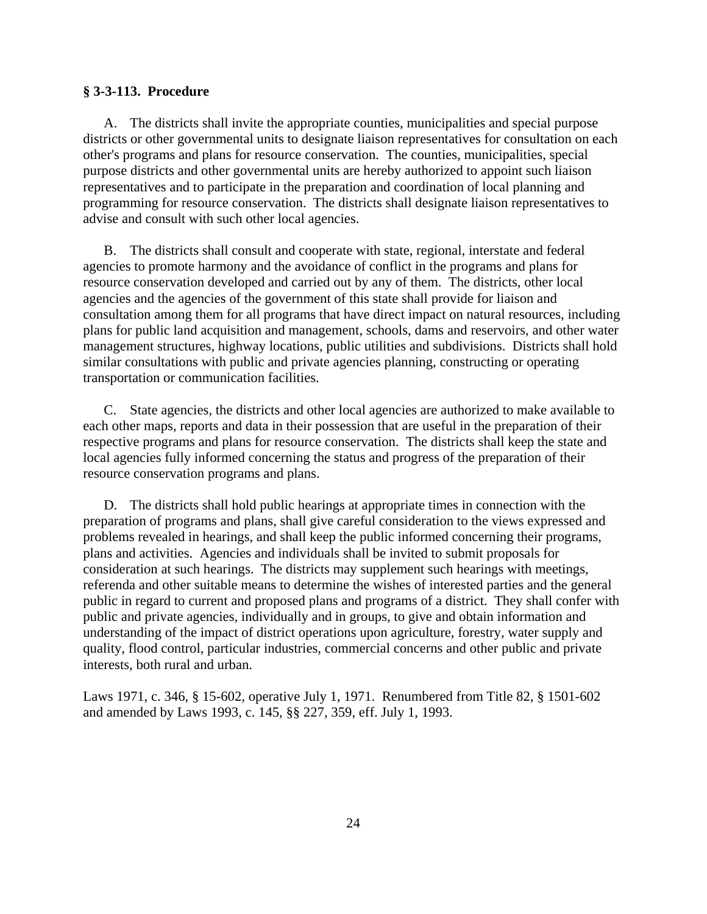## **§ 3-3-113. Procedure**

 A. The districts shall invite the appropriate counties, municipalities and special purpose districts or other governmental units to designate liaison representatives for consultation on each other's programs and plans for resource conservation. The counties, municipalities, special purpose districts and other governmental units are hereby authorized to appoint such liaison representatives and to participate in the preparation and coordination of local planning and programming for resource conservation. The districts shall designate liaison representatives to advise and consult with such other local agencies.

 B. The districts shall consult and cooperate with state, regional, interstate and federal agencies to promote harmony and the avoidance of conflict in the programs and plans for resource conservation developed and carried out by any of them. The districts, other local agencies and the agencies of the government of this state shall provide for liaison and consultation among them for all programs that have direct impact on natural resources, including plans for public land acquisition and management, schools, dams and reservoirs, and other water management structures, highway locations, public utilities and subdivisions. Districts shall hold similar consultations with public and private agencies planning, constructing or operating transportation or communication facilities.

 C. State agencies, the districts and other local agencies are authorized to make available to each other maps, reports and data in their possession that are useful in the preparation of their respective programs and plans for resource conservation. The districts shall keep the state and local agencies fully informed concerning the status and progress of the preparation of their resource conservation programs and plans.

 D. The districts shall hold public hearings at appropriate times in connection with the preparation of programs and plans, shall give careful consideration to the views expressed and problems revealed in hearings, and shall keep the public informed concerning their programs, plans and activities. Agencies and individuals shall be invited to submit proposals for consideration at such hearings. The districts may supplement such hearings with meetings, referenda and other suitable means to determine the wishes of interested parties and the general public in regard to current and proposed plans and programs of a district. They shall confer with public and private agencies, individually and in groups, to give and obtain information and understanding of the impact of district operations upon agriculture, forestry, water supply and quality, flood control, particular industries, commercial concerns and other public and private interests, both rural and urban.

Laws 1971, c. 346, § 15-602, operative July 1, 1971. Renumbered from Title 82, § 1501-602 and amended by Laws 1993, c. 145, §§ 227, 359, eff. July 1, 1993.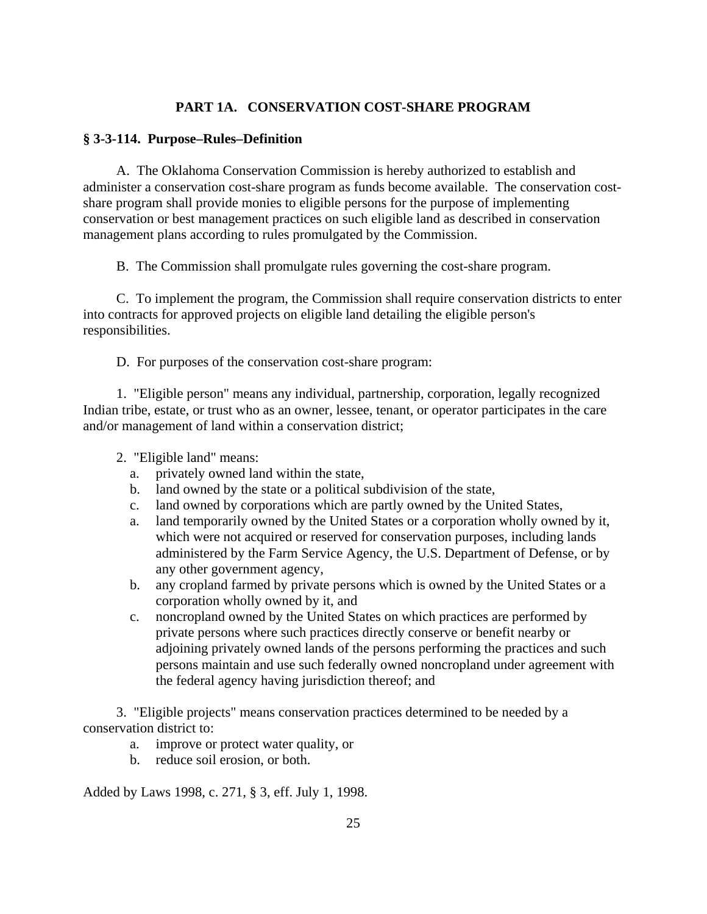# **PART 1A. CONSERVATION COST-SHARE PROGRAM**

# **§ 3-3-114. Purpose–Rules–Definition**

A. The Oklahoma Conservation Commission is hereby authorized to establish and administer a conservation cost-share program as funds become available. The conservation costshare program shall provide monies to eligible persons for the purpose of implementing conservation or best management practices on such eligible land as described in conservation management plans according to rules promulgated by the Commission.

B. The Commission shall promulgate rules governing the cost-share program.

C. To implement the program, the Commission shall require conservation districts to enter into contracts for approved projects on eligible land detailing the eligible person's responsibilities.

D. For purposes of the conservation cost-share program:

1. "Eligible person" means any individual, partnership, corporation, legally recognized Indian tribe, estate, or trust who as an owner, lessee, tenant, or operator participates in the care and/or management of land within a conservation district;

- 2. "Eligible land" means:
	- a. privately owned land within the state,
	- b. land owned by the state or a political subdivision of the state,
	- c. land owned by corporations which are partly owned by the United States,
	- a. land temporarily owned by the United States or a corporation wholly owned by it, which were not acquired or reserved for conservation purposes, including lands administered by the Farm Service Agency, the U.S. Department of Defense, or by any other government agency,
	- b. any cropland farmed by private persons which is owned by the United States or a corporation wholly owned by it, and
	- c. noncropland owned by the United States on which practices are performed by private persons where such practices directly conserve or benefit nearby or adjoining privately owned lands of the persons performing the practices and such persons maintain and use such federally owned noncropland under agreement with the federal agency having jurisdiction thereof; and

3. "Eligible projects" means conservation practices determined to be needed by a conservation district to:

- a. improve or protect water quality, or
- b. reduce soil erosion, or both.

Added by Laws 1998, c. 271, § 3, eff. July 1, 1998.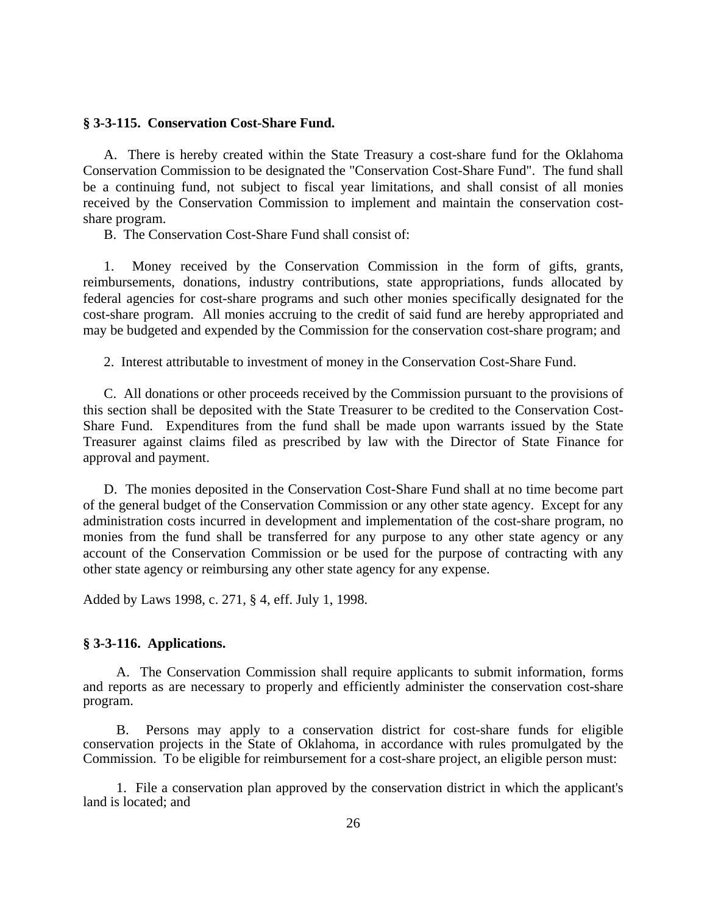### **§ 3-3-115. Conservation Cost-Share Fund.**

 A. There is hereby created within the State Treasury a cost-share fund for the Oklahoma Conservation Commission to be designated the "Conservation Cost-Share Fund". The fund shall be a continuing fund, not subject to fiscal year limitations, and shall consist of all monies received by the Conservation Commission to implement and maintain the conservation costshare program.

B. The Conservation Cost-Share Fund shall consist of:

 1. Money received by the Conservation Commission in the form of gifts, grants, reimbursements, donations, industry contributions, state appropriations, funds allocated by federal agencies for cost-share programs and such other monies specifically designated for the cost-share program. All monies accruing to the credit of said fund are hereby appropriated and may be budgeted and expended by the Commission for the conservation cost-share program; and

2. Interest attributable to investment of money in the Conservation Cost-Share Fund.

 C. All donations or other proceeds received by the Commission pursuant to the provisions of this section shall be deposited with the State Treasurer to be credited to the Conservation Cost-Share Fund. Expenditures from the fund shall be made upon warrants issued by the State Treasurer against claims filed as prescribed by law with the Director of State Finance for approval and payment.

 D. The monies deposited in the Conservation Cost-Share Fund shall at no time become part of the general budget of the Conservation Commission or any other state agency. Except for any administration costs incurred in development and implementation of the cost-share program, no monies from the fund shall be transferred for any purpose to any other state agency or any account of the Conservation Commission or be used for the purpose of contracting with any other state agency or reimbursing any other state agency for any expense.

Added by Laws 1998, c. 271, § 4, eff. July 1, 1998.

### **§ 3-3-116. Applications.**

A. The Conservation Commission shall require applicants to submit information, forms and reports as are necessary to properly and efficiently administer the conservation cost-share program.

B. Persons may apply to a conservation district for cost-share funds for eligible conservation projects in the State of Oklahoma, in accordance with rules promulgated by the Commission. To be eligible for reimbursement for a cost-share project, an eligible person must:

1. File a conservation plan approved by the conservation district in which the applicant's land is located; and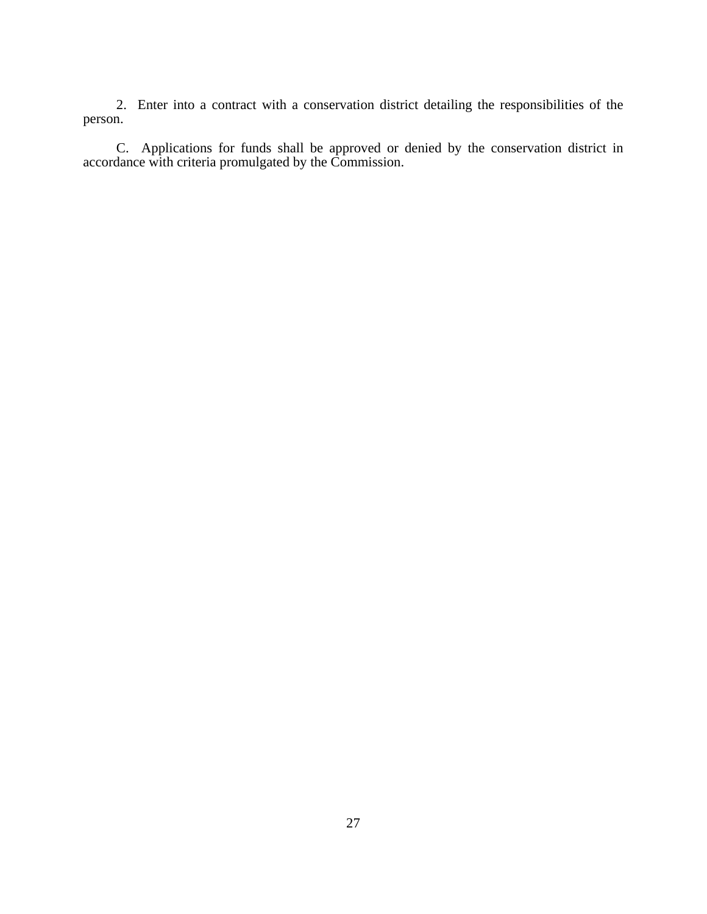2. Enter into a contract with a conservation district detailing the responsibilities of the person.

C. Applications for funds shall be approved or denied by the conservation district in accordance with criteria promulgated by the Commission.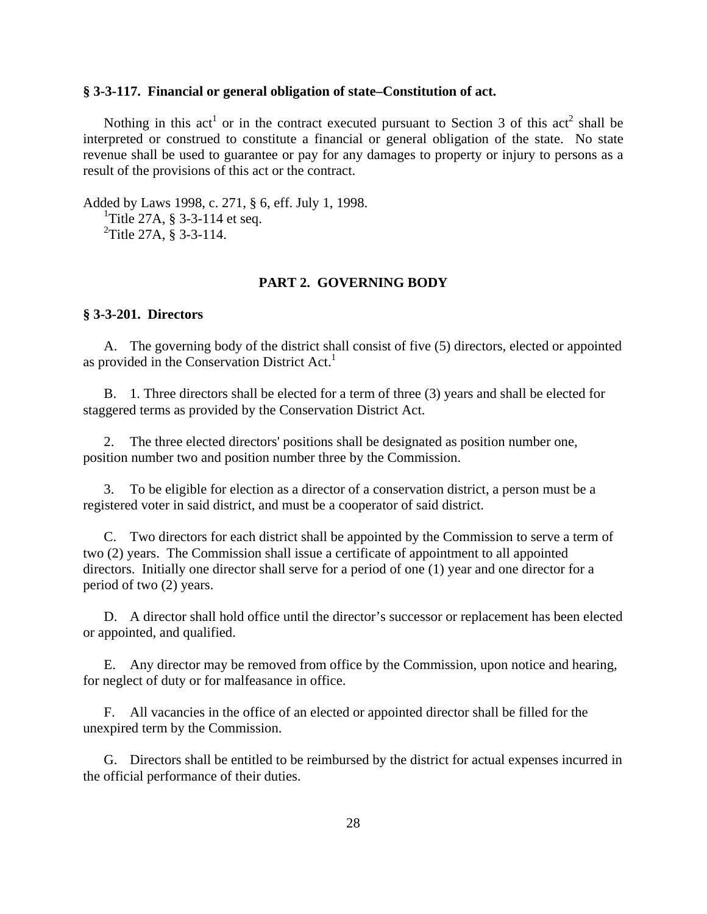### **§ 3-3-117. Financial or general obligation of state–Constitution of act.**

Nothing in this act<sup>1</sup> or in the contract executed pursuant to Section 3 of this act<sup>2</sup> shall be interpreted or construed to constitute a financial or general obligation of the state. No state revenue shall be used to guarantee or pay for any damages to property or injury to persons as a result of the provisions of this act or the contract.

Added by Laws 1998, c. 271, § 6, eff. July 1, 1998. <sup>1</sup>Title 27A, § 3-3-114 et seq.  ${}^{2}$ Title 27A, § 3-3-114.

### **PART 2. GOVERNING BODY**

## **§ 3-3-201. Directors**

 A. The governing body of the district shall consist of five (5) directors, elected or appointed as provided in the Conservation District Act.<sup>1</sup>

 B. 1. Three directors shall be elected for a term of three (3) years and shall be elected for staggered terms as provided by the Conservation District Act.

 2. The three elected directors' positions shall be designated as position number one, position number two and position number three by the Commission.

 3. To be eligible for election as a director of a conservation district, a person must be a registered voter in said district, and must be a cooperator of said district.

 C. Two directors for each district shall be appointed by the Commission to serve a term of two (2) years. The Commission shall issue a certificate of appointment to all appointed directors. Initially one director shall serve for a period of one (1) year and one director for a period of two (2) years.

 D. A director shall hold office until the director's successor or replacement has been elected or appointed, and qualified.

 E. Any director may be removed from office by the Commission, upon notice and hearing, for neglect of duty or for malfeasance in office.

 F. All vacancies in the office of an elected or appointed director shall be filled for the unexpired term by the Commission.

 G. Directors shall be entitled to be reimbursed by the district for actual expenses incurred in the official performance of their duties.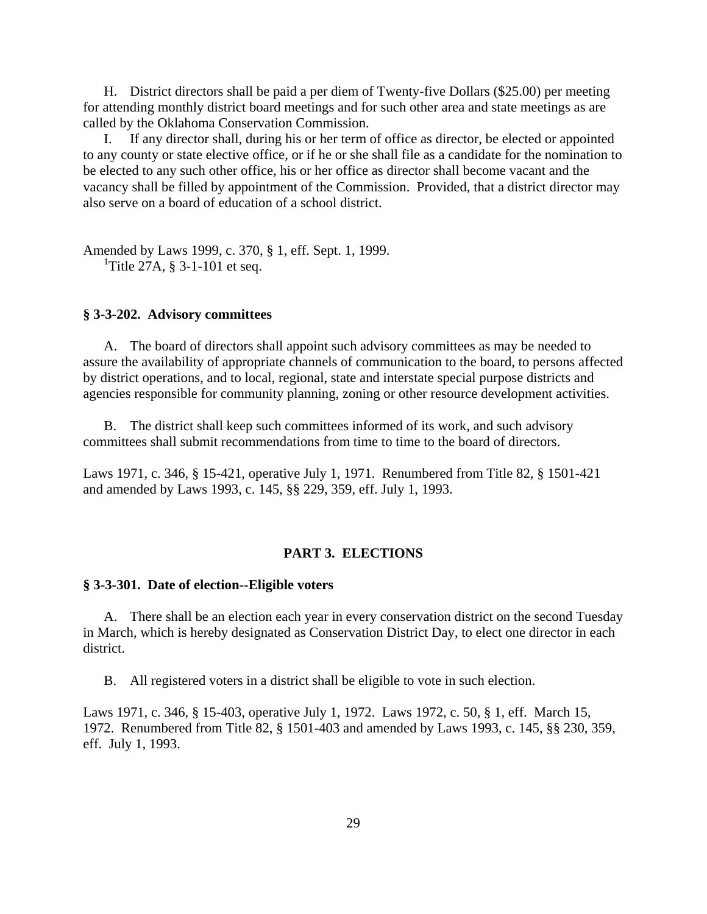H. District directors shall be paid a per diem of Twenty-five Dollars (\$25.00) per meeting for attending monthly district board meetings and for such other area and state meetings as are called by the Oklahoma Conservation Commission.

If any director shall, during his or her term of office as director, be elected or appointed to any county or state elective office, or if he or she shall file as a candidate for the nomination to be elected to any such other office, his or her office as director shall become vacant and the vacancy shall be filled by appointment of the Commission. Provided, that a district director may also serve on a board of education of a school district.

Amended by Laws 1999, c. 370, § 1, eff. Sept. 1, 1999. <sup>1</sup>Title 27A, § 3-1-101 et seq.

### **§ 3-3-202. Advisory committees**

 A. The board of directors shall appoint such advisory committees as may be needed to assure the availability of appropriate channels of communication to the board, to persons affected by district operations, and to local, regional, state and interstate special purpose districts and agencies responsible for community planning, zoning or other resource development activities.

 B. The district shall keep such committees informed of its work, and such advisory committees shall submit recommendations from time to time to the board of directors.

Laws 1971, c. 346, § 15-421, operative July 1, 1971. Renumbered from Title 82, § 1501-421 and amended by Laws 1993, c. 145, §§ 229, 359, eff. July 1, 1993.

# **PART 3. ELECTIONS**

### **§ 3-3-301. Date of election--Eligible voters**

 A. There shall be an election each year in every conservation district on the second Tuesday in March, which is hereby designated as Conservation District Day, to elect one director in each district.

B. All registered voters in a district shall be eligible to vote in such election.

Laws 1971, c. 346, § 15-403, operative July 1, 1972. Laws 1972, c. 50, § 1, eff. March 15, 1972. Renumbered from Title 82, § 1501-403 and amended by Laws 1993, c. 145, §§ 230, 359, eff. July 1, 1993.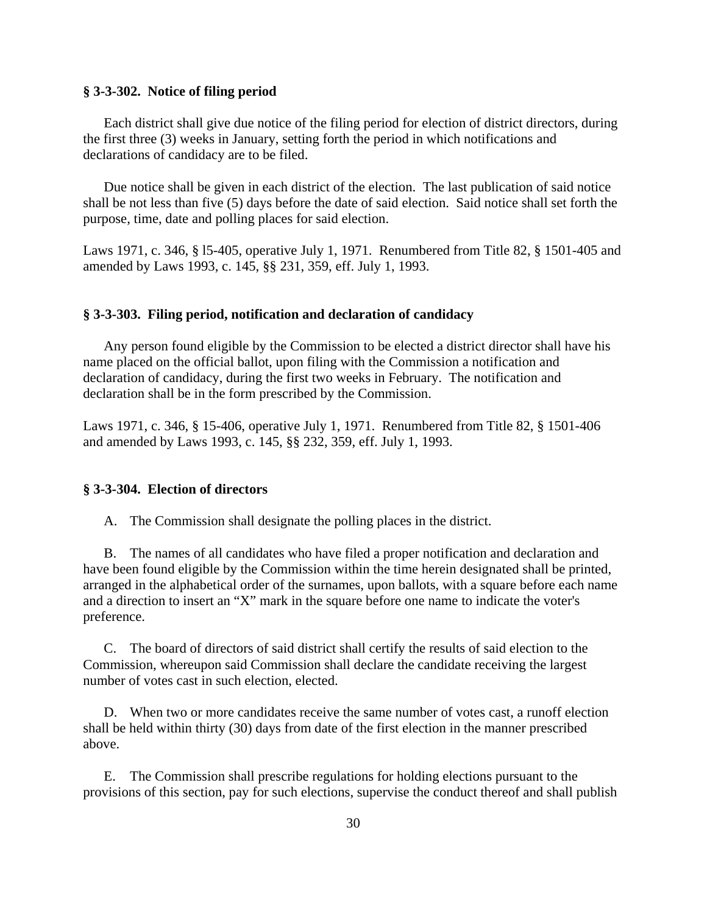### **§ 3-3-302. Notice of filing period**

 Each district shall give due notice of the filing period for election of district directors, during the first three (3) weeks in January, setting forth the period in which notifications and declarations of candidacy are to be filed.

 Due notice shall be given in each district of the election. The last publication of said notice shall be not less than five (5) days before the date of said election. Said notice shall set forth the purpose, time, date and polling places for said election.

Laws 1971, c. 346, § l5-405, operative July 1, 1971. Renumbered from Title 82, § 1501-405 and amended by Laws 1993, c. 145, §§ 231, 359, eff. July 1, 1993.

#### **§ 3-3-303. Filing period, notification and declaration of candidacy**

 Any person found eligible by the Commission to be elected a district director shall have his name placed on the official ballot, upon filing with the Commission a notification and declaration of candidacy, during the first two weeks in February. The notification and declaration shall be in the form prescribed by the Commission.

Laws 1971, c. 346, § 15-406, operative July 1, 1971. Renumbered from Title 82, § 1501-406 and amended by Laws 1993, c. 145, §§ 232, 359, eff. July 1, 1993.

### **§ 3-3-304. Election of directors**

A. The Commission shall designate the polling places in the district.

 B. The names of all candidates who have filed a proper notification and declaration and have been found eligible by the Commission within the time herein designated shall be printed, arranged in the alphabetical order of the surnames, upon ballots, with a square before each name and a direction to insert an "X" mark in the square before one name to indicate the voter's preference.

 C. The board of directors of said district shall certify the results of said election to the Commission, whereupon said Commission shall declare the candidate receiving the largest number of votes cast in such election, elected.

 D. When two or more candidates receive the same number of votes cast, a runoff election shall be held within thirty (30) days from date of the first election in the manner prescribed above.

 E. The Commission shall prescribe regulations for holding elections pursuant to the provisions of this section, pay for such elections, supervise the conduct thereof and shall publish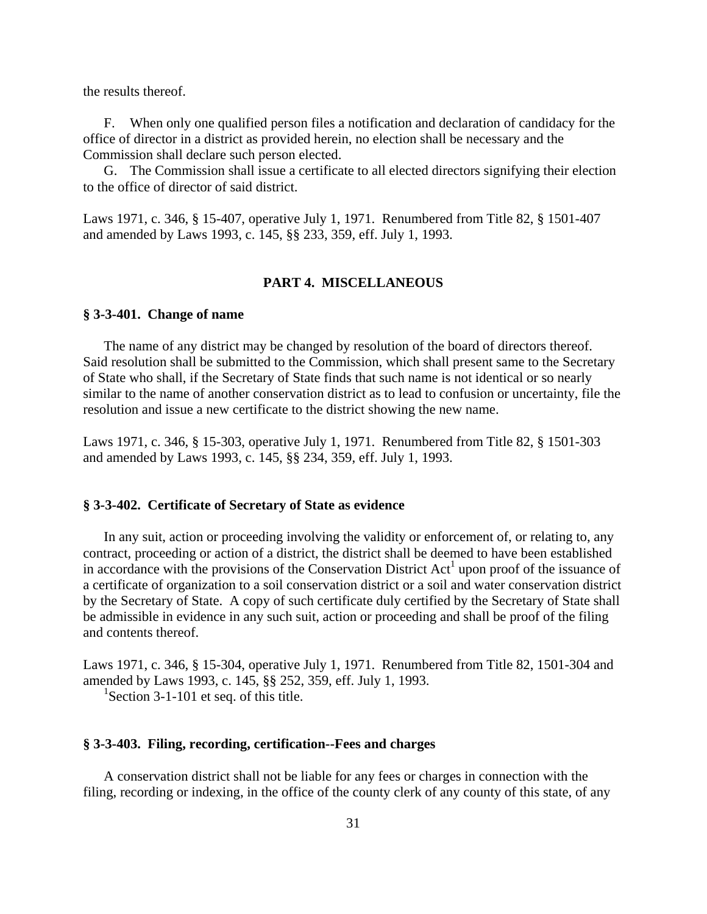the results thereof.

 F. When only one qualified person files a notification and declaration of candidacy for the office of director in a district as provided herein, no election shall be necessary and the Commission shall declare such person elected.

 G. The Commission shall issue a certificate to all elected directors signifying their election to the office of director of said district.

Laws 1971, c. 346, § 15-407, operative July 1, 1971. Renumbered from Title 82, § 1501-407 and amended by Laws 1993, c. 145, §§ 233, 359, eff. July 1, 1993.

# **PART 4. MISCELLANEOUS**

### **§ 3-3-401. Change of name**

 The name of any district may be changed by resolution of the board of directors thereof. Said resolution shall be submitted to the Commission, which shall present same to the Secretary of State who shall, if the Secretary of State finds that such name is not identical or so nearly similar to the name of another conservation district as to lead to confusion or uncertainty, file the resolution and issue a new certificate to the district showing the new name.

Laws 1971, c. 346, § 15-303, operative July 1, 1971. Renumbered from Title 82, § 1501-303 and amended by Laws 1993, c. 145, §§ 234, 359, eff. July 1, 1993.

#### **§ 3-3-402. Certificate of Secretary of State as evidence**

 In any suit, action or proceeding involving the validity or enforcement of, or relating to, any contract, proceeding or action of a district, the district shall be deemed to have been established in accordance with the provisions of the Conservation District  $Act<sup>1</sup>$  upon proof of the issuance of a certificate of organization to a soil conservation district or a soil and water conservation district by the Secretary of State. A copy of such certificate duly certified by the Secretary of State shall be admissible in evidence in any such suit, action or proceeding and shall be proof of the filing and contents thereof.

Laws 1971, c. 346, § 15-304, operative July 1, 1971. Renumbered from Title 82, 1501-304 and amended by Laws 1993, c. 145, §§ 252, 359, eff. July 1, 1993.

<sup>1</sup>Section 3-1-101 et seq. of this title.

### **§ 3-3-403. Filing, recording, certification--Fees and charges**

 A conservation district shall not be liable for any fees or charges in connection with the filing, recording or indexing, in the office of the county clerk of any county of this state, of any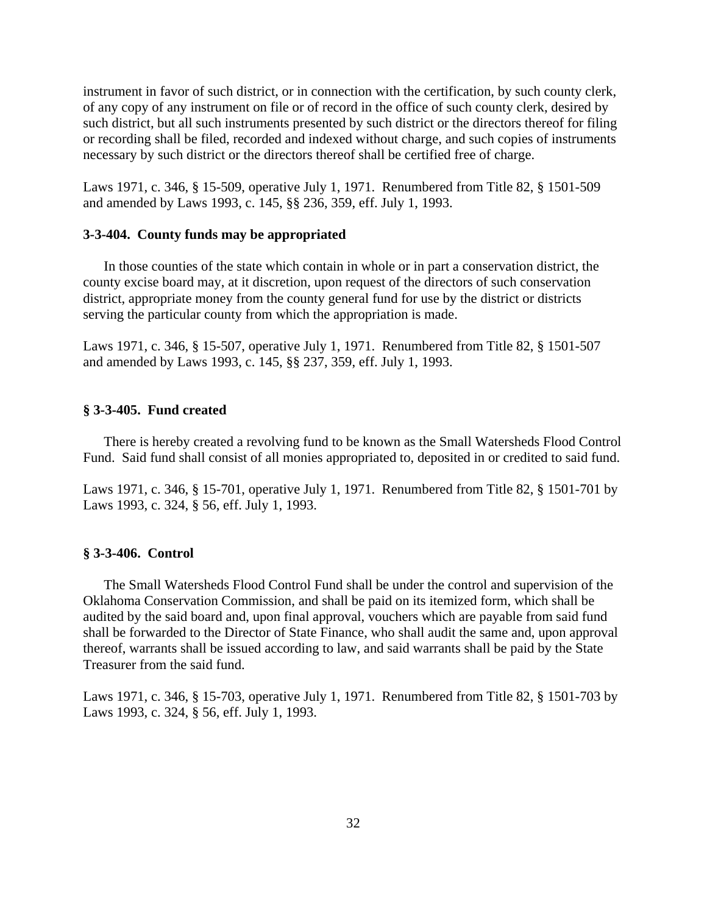instrument in favor of such district, or in connection with the certification, by such county clerk, of any copy of any instrument on file or of record in the office of such county clerk, desired by such district, but all such instruments presented by such district or the directors thereof for filing or recording shall be filed, recorded and indexed without charge, and such copies of instruments necessary by such district or the directors thereof shall be certified free of charge.

Laws 1971, c. 346, § 15-509, operative July 1, 1971. Renumbered from Title 82, § 1501-509 and amended by Laws 1993, c. 145, §§ 236, 359, eff. July 1, 1993.

### **3-3-404. County funds may be appropriated**

 In those counties of the state which contain in whole or in part a conservation district, the county excise board may, at it discretion, upon request of the directors of such conservation district, appropriate money from the county general fund for use by the district or districts serving the particular county from which the appropriation is made.

Laws 1971, c. 346, § 15-507, operative July 1, 1971. Renumbered from Title 82, § 1501-507 and amended by Laws 1993, c. 145, §§ 237, 359, eff. July 1, 1993.

### **§ 3-3-405. Fund created**

 There is hereby created a revolving fund to be known as the Small Watersheds Flood Control Fund. Said fund shall consist of all monies appropriated to, deposited in or credited to said fund.

Laws 1971, c. 346, § 15-701, operative July 1, 1971. Renumbered from Title 82, § 1501-701 by Laws 1993, c. 324, § 56, eff. July 1, 1993.

### **§ 3-3-406. Control**

 The Small Watersheds Flood Control Fund shall be under the control and supervision of the Oklahoma Conservation Commission, and shall be paid on its itemized form, which shall be audited by the said board and, upon final approval, vouchers which are payable from said fund shall be forwarded to the Director of State Finance, who shall audit the same and, upon approval thereof, warrants shall be issued according to law, and said warrants shall be paid by the State Treasurer from the said fund.

Laws 1971, c. 346, § 15-703, operative July 1, 1971. Renumbered from Title 82, § 1501-703 by Laws 1993, c. 324, § 56, eff. July 1, 1993.